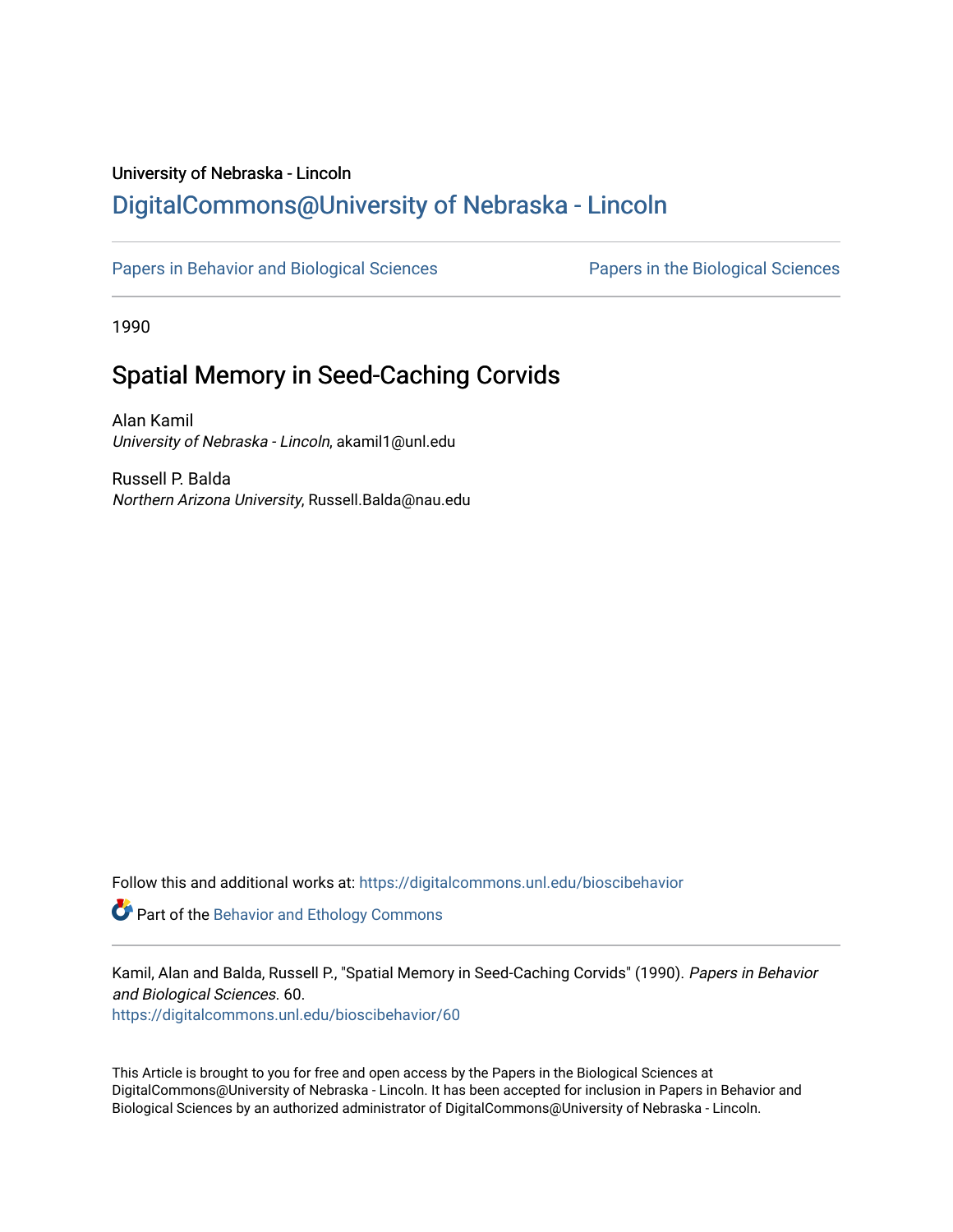# University of Nebraska - Lincoln [DigitalCommons@University of Nebraska - Lincoln](https://digitalcommons.unl.edu/)

[Papers in Behavior and Biological Sciences](https://digitalcommons.unl.edu/bioscibehavior) [Papers in the Biological Sciences](https://digitalcommons.unl.edu/bioscipapers) 

1990

# Spatial Memory in Seed-Caching Corvids

Alan Kamil University of Nebraska - Lincoln, akamil1@unl.edu

Russell P. Balda Northern Arizona University, Russell.Balda@nau.edu

Follow this and additional works at: [https://digitalcommons.unl.edu/bioscibehavior](https://digitalcommons.unl.edu/bioscibehavior?utm_source=digitalcommons.unl.edu%2Fbioscibehavior%2F60&utm_medium=PDF&utm_campaign=PDFCoverPages)

Part of the [Behavior and Ethology Commons](http://network.bepress.com/hgg/discipline/15?utm_source=digitalcommons.unl.edu%2Fbioscibehavior%2F60&utm_medium=PDF&utm_campaign=PDFCoverPages) 

Kamil, Alan and Balda, Russell P., "Spatial Memory in Seed-Caching Corvids" (1990). Papers in Behavior and Biological Sciences. 60.

[https://digitalcommons.unl.edu/bioscibehavior/60](https://digitalcommons.unl.edu/bioscibehavior/60?utm_source=digitalcommons.unl.edu%2Fbioscibehavior%2F60&utm_medium=PDF&utm_campaign=PDFCoverPages) 

This Article is brought to you for free and open access by the Papers in the Biological Sciences at DigitalCommons@University of Nebraska - Lincoln. It has been accepted for inclusion in Papers in Behavior and Biological Sciences by an authorized administrator of DigitalCommons@University of Nebraska - Lincoln.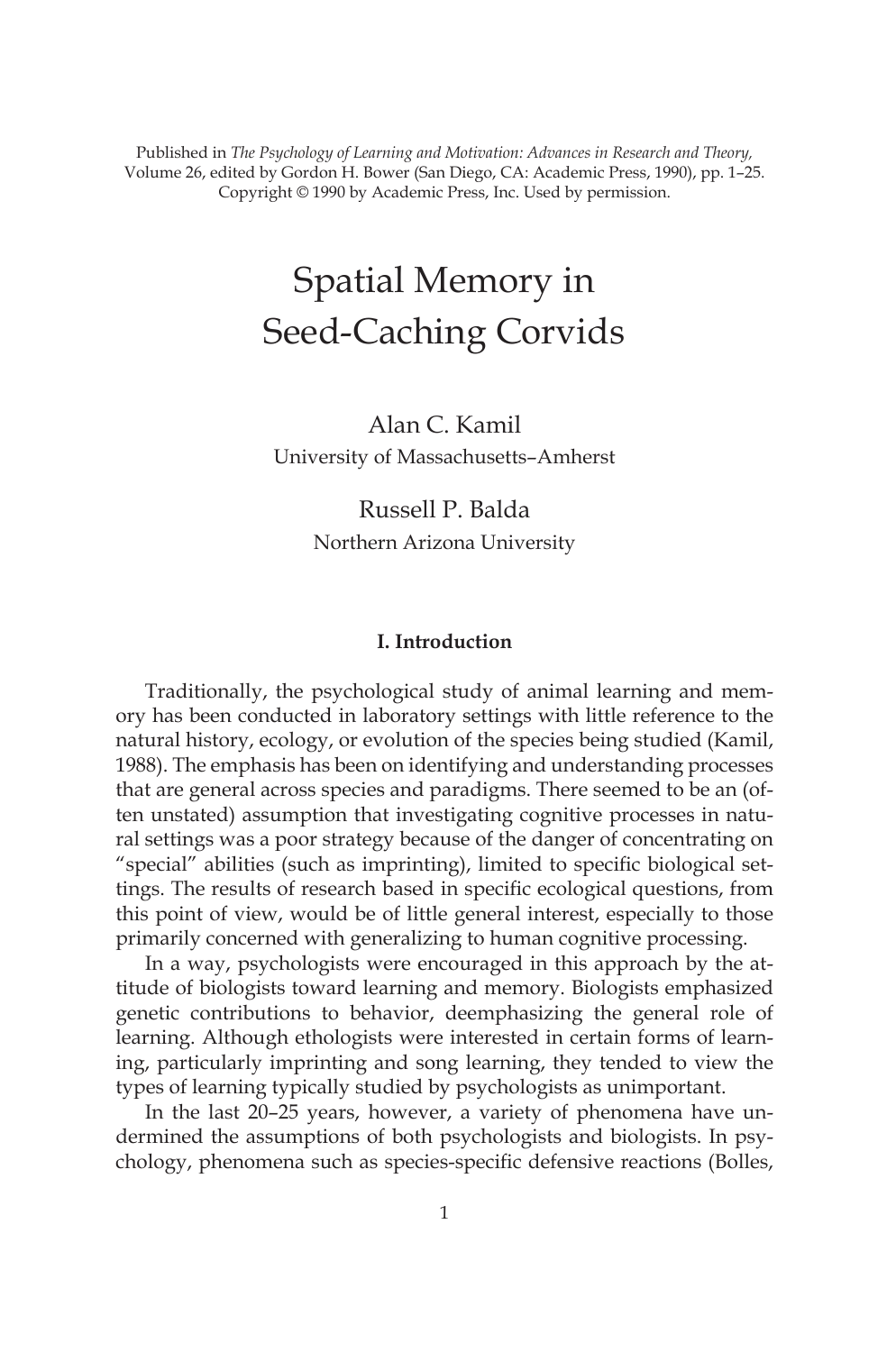Published in *The Psychology of Learning and Motivation: Advances in Research and Theory,* Volume 26, edited by Gordon H. Bower (San Diego, CA: Academic Press, 1990), pp. 1–25. Copyright © 1990 by Academic Press, Inc. Used by permission.

# Spatial Memory in Seed-Caching Corvids

Alan C. Kamil University of Massachusetts–Amherst

> Russell P. Balda Northern Arizona University

# **I. Introduction**

Traditionally, the psychological study of animal learning and memory has been conducted in laboratory settings with little reference to the natural history, ecology, or evolution of the species being studied (Kamil, 1988). The emphasis has been on identifying and understanding processes that are general across species and paradigms. There seemed to be an (often unstated) assumption that investigating cognitive processes in natural settings was a poor strategy because of the danger of concentrating on "special" abilities (such as imprinting), limited to specific biological settings. The results of research based in specific ecological questions, from this point of view, would be of little general interest, especially to those primarily concerned with generalizing to human cognitive processing.

In a way, psychologists were encouraged in this approach by the attitude of biologists toward learning and memory. Biologists emphasized genetic contributions to behavior, deemphasizing the general role of learning. Although ethologists were interested in certain forms of learning, particularly imprinting and song learning, they tended to view the types of learning typically studied by psychologists as unimportant.

In the last 20–25 years, however, a variety of phenomena have undermined the assumptions of both psychologists and biologists. In psychology, phenomena such as species-specific defensive reactions (Bolles,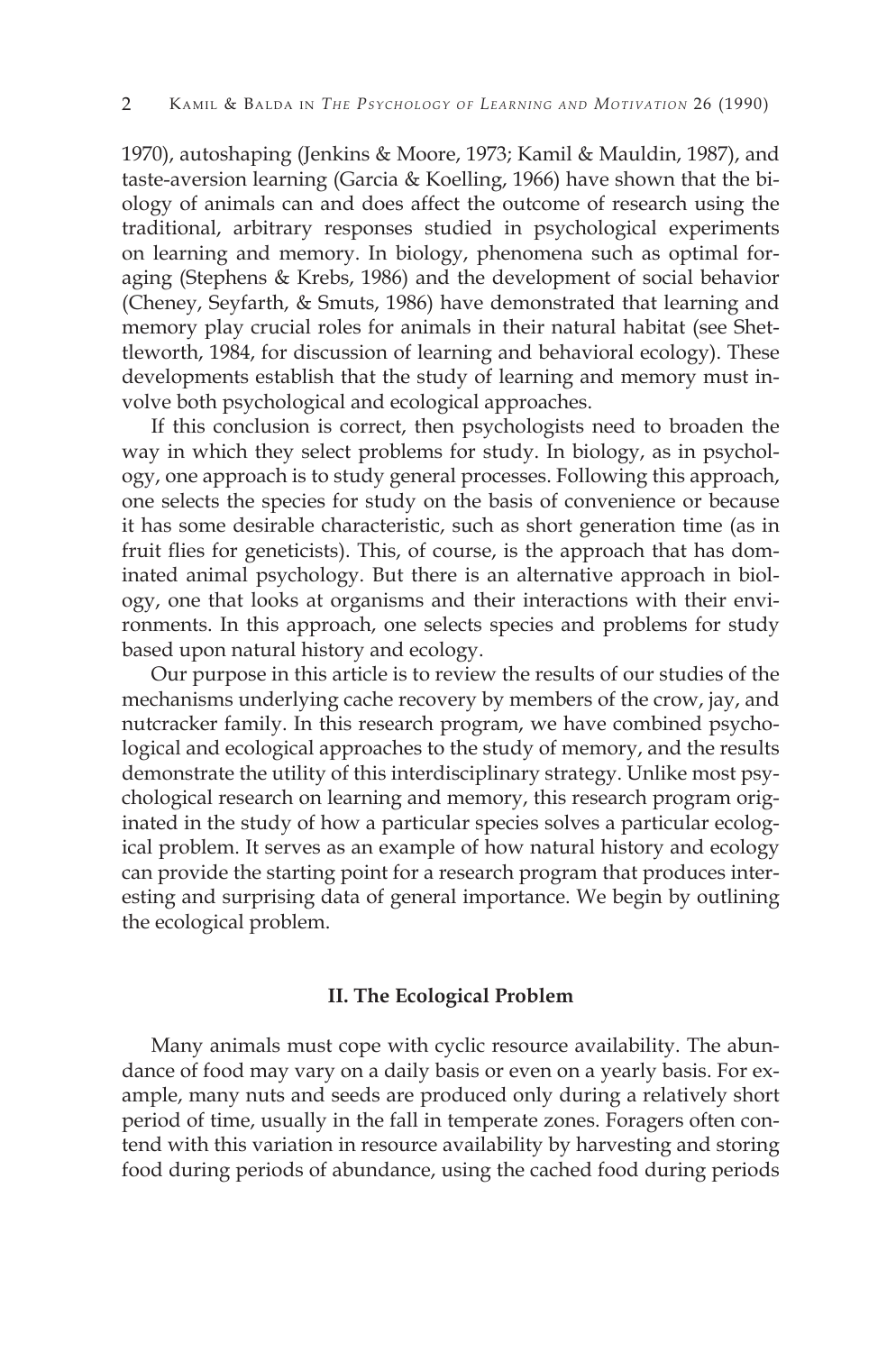1970), autoshaping (Jenkins & Moore, 1973; Kamil & Mauldin, 1987), and taste-aversion learning (Garcia & Koelling, 1966) have shown that the biology of animals can and does affect the outcome of research using the traditional, arbitrary responses studied in psychological experiments on learning and memory. In biology, phenomena such as optimal foraging (Stephens & Krebs, 1986) and the development of social behavior (Cheney, Seyfarth, & Smuts, 1986) have demonstrated that learning and memory play crucial roles for animals in their natural habitat (see Shettleworth, 1984, for discussion of learning and behavioral ecology). These developments establish that the study of learning and memory must involve both psychological and ecological approaches.

If this conclusion is correct, then psychologists need to broaden the way in which they select problems for study. In biology, as in psychology, one approach is to study general processes. Following this approach, one selects the species for study on the basis of convenience or because it has some desirable characteristic, such as short generation time (as in fruit flies for geneticists). This, of course, is the approach that has dominated animal psychology. But there is an alternative approach in biology, one that looks at organisms and their interactions with their environments. In this approach, one selects species and problems for study based upon natural history and ecology.

Our purpose in this article is to review the results of our studies of the mechanisms underlying cache recovery by members of the crow, jay, and nutcracker family. In this research program, we have combined psychological and ecological approaches to the study of memory, and the results demonstrate the utility of this interdisciplinary strategy. Unlike most psychological research on learning and memory, this research program originated in the study of how a particular species solves a particular ecological problem. It serves as an example of how natural history and ecology can provide the starting point for a research program that produces interesting and surprising data of general importance. We begin by outlining the ecological problem.

# **II. The Ecological Problem**

Many animals must cope with cyclic resource availability. The abundance of food may vary on a daily basis or even on a yearly basis. For example, many nuts and seeds are produced only during a relatively short period of time, usually in the fall in temperate zones. Foragers often contend with this variation in resource availability by harvesting and storing food during periods of abundance, using the cached food during periods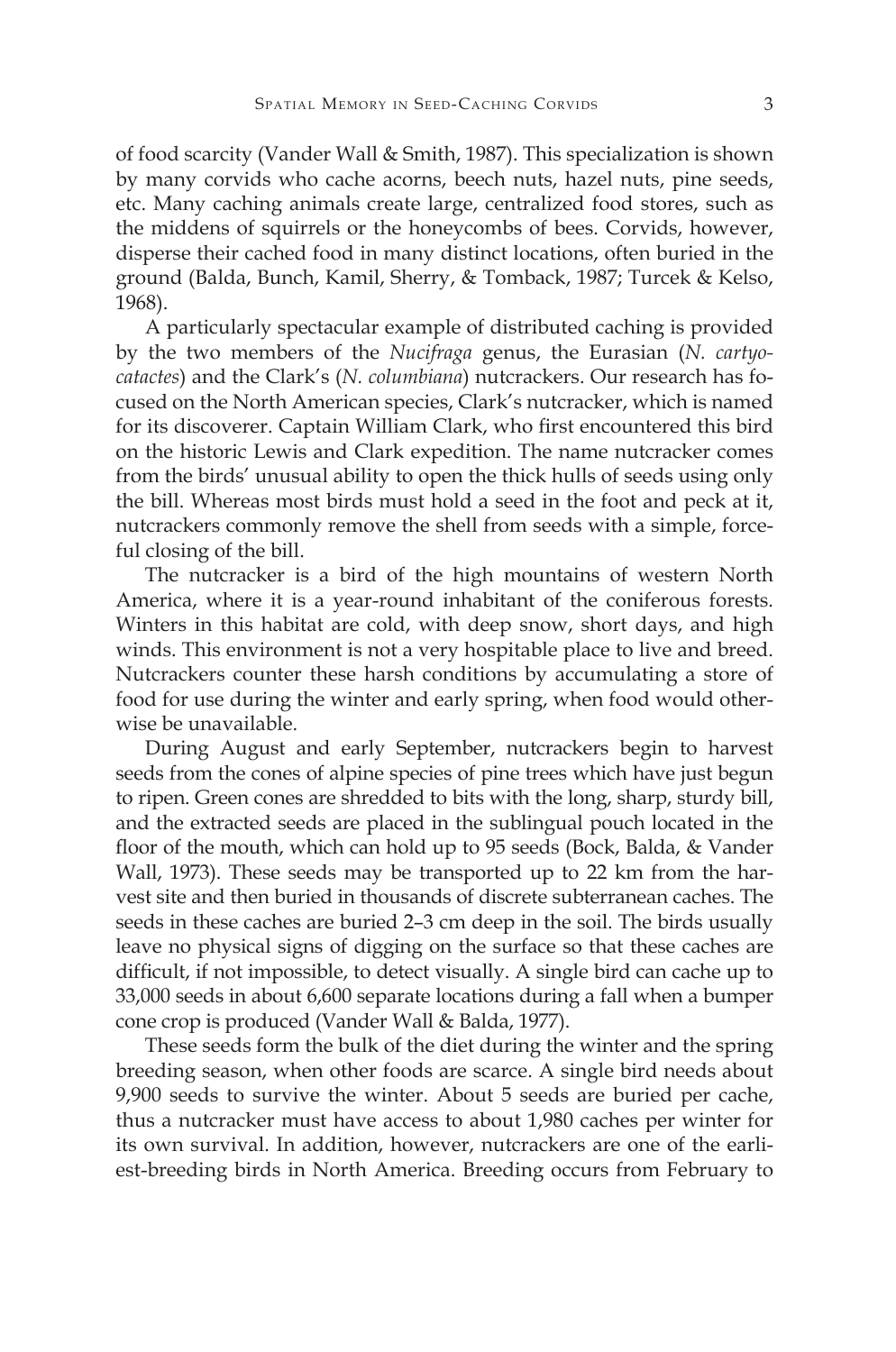of food scarcity (Vander Wall & Smith, 1987). This specialization is shown by many corvids who cache acorns, beech nuts, hazel nuts, pine seeds, etc. Many caching animals create large, centralized food stores, such as the middens of squirrels or the honeycombs of bees. Corvids, however, disperse their cached food in many distinct locations, often buried in the ground (Balda, Bunch, Kamil, Sherry, & Tomback, 1987; Turcek & Kelso, 1968).

A particularly spectacular example of distributed caching is provided by the two members of the *Nucifraga* genus, the Eurasian (*N. cartyocatactes*) and the Clark's (*N. columbiana*) nutcrackers. Our research has focused on the North American species, Clark's nutcracker, which is named for its discoverer. Captain William Clark, who first encountered this bird on the historic Lewis and Clark expedition. The name nutcracker comes from the birds' unusual ability to open the thick hulls of seeds using only the bill. Whereas most birds must hold a seed in the foot and peck at it, nutcrackers commonly remove the shell from seeds with a simple, forceful closing of the bill.

The nutcracker is a bird of the high mountains of western North America, where it is a year-round inhabitant of the coniferous forests. Winters in this habitat are cold, with deep snow, short days, and high winds. This environment is not a very hospitable place to live and breed. Nutcrackers counter these harsh conditions by accumulating a store of food for use during the winter and early spring, when food would otherwise be unavailable.

During August and early September, nutcrackers begin to harvest seeds from the cones of alpine species of pine trees which have just begun to ripen. Green cones are shredded to bits with the long, sharp, sturdy bill, and the extracted seeds are placed in the sublingual pouch located in the floor of the mouth, which can hold up to 95 seeds (Bock, Balda, & Vander Wall, 1973). These seeds may be transported up to 22 km from the harvest site and then buried in thousands of discrete subterranean caches. The seeds in these caches are buried 2–3 cm deep in the soil. The birds usually leave no physical signs of digging on the surface so that these caches are difficult, if not impossible, to detect visually. A single bird can cache up to 33,000 seeds in about 6,600 separate locations during a fall when a bumper cone crop is produced (Vander Wall & Balda, 1977).

These seeds form the bulk of the diet during the winter and the spring breeding season, when other foods are scarce. A single bird needs about 9,900 seeds to survive the winter. About 5 seeds are buried per cache, thus a nutcracker must have access to about 1,980 caches per winter for its own survival. In addition, however, nutcrackers are one of the earliest-breeding birds in North America. Breeding occurs from February to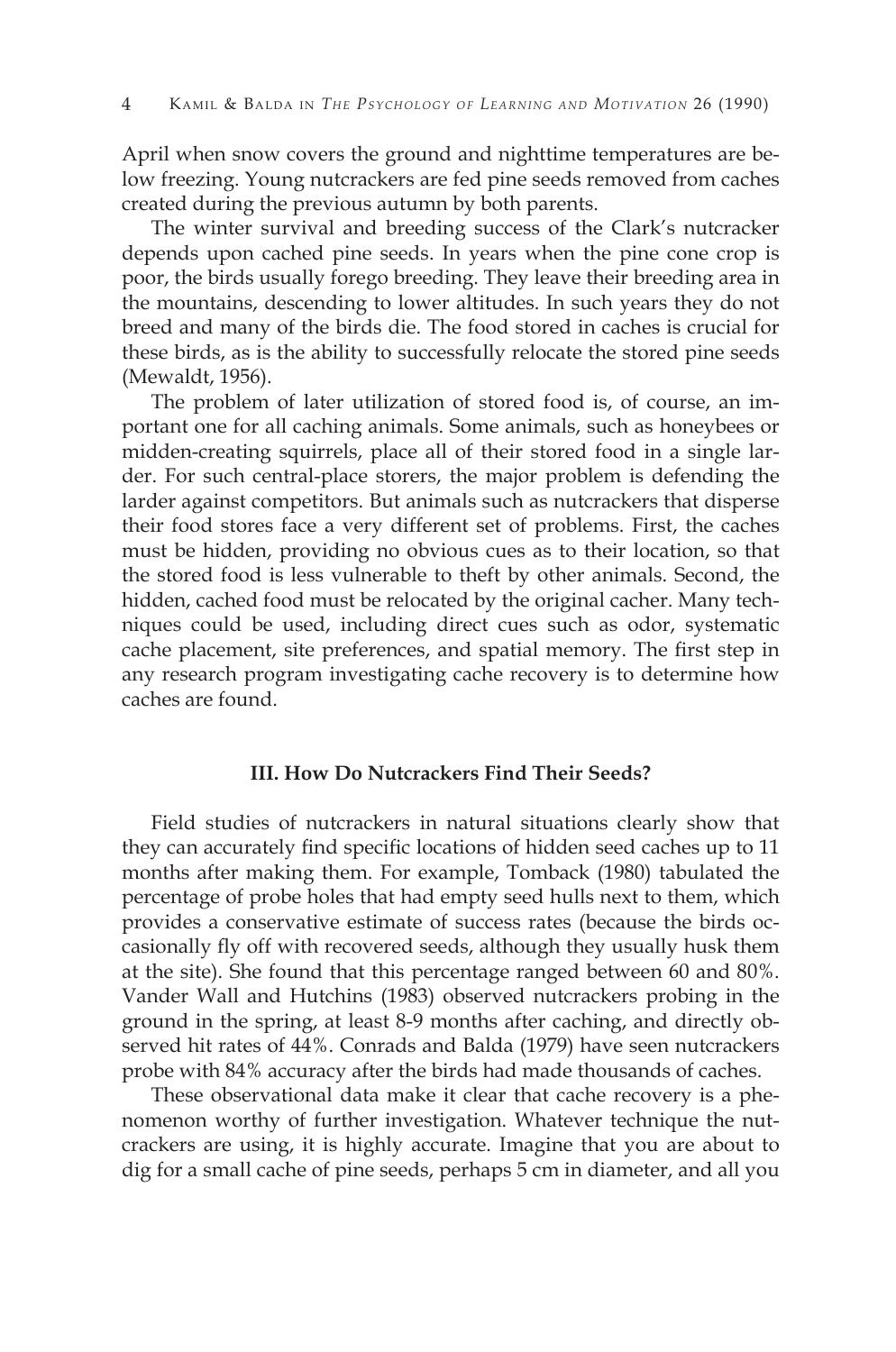April when snow covers the ground and nighttime temperatures are below freezing. Young nutcrackers are fed pine seeds removed from caches created during the previous autumn by both parents.

The winter survival and breeding success of the Clark's nutcracker depends upon cached pine seeds. In years when the pine cone crop is poor, the birds usually forego breeding. They leave their breeding area in the mountains, descending to lower altitudes. In such years they do not breed and many of the birds die. The food stored in caches is crucial for these birds, as is the ability to successfully relocate the stored pine seeds (Mewaldt, 1956).

The problem of later utilization of stored food is, of course, an important one for all caching animals. Some animals, such as honeybees or midden-creating squirrels, place all of their stored food in a single larder. For such central-place storers, the major problem is defending the larder against competitors. But animals such as nutcrackers that disperse their food stores face a very different set of problems. First, the caches must be hidden, providing no obvious cues as to their location, so that the stored food is less vulnerable to theft by other animals. Second, the hidden, cached food must be relocated by the original cacher. Many techniques could be used, including direct cues such as odor, systematic cache placement, site preferences, and spatial memory. The first step in any research program investigating cache recovery is to determine how caches are found.

# **III. How Do Nutcrackers Find Their Seeds?**

Field studies of nutcrackers in natural situations clearly show that they can accurately find specific locations of hidden seed caches up to 11 months after making them. For example, Tomback (1980) tabulated the percentage of probe holes that had empty seed hulls next to them, which provides a conservative estimate of success rates (because the birds occasionally fly off with recovered seeds, although they usually husk them at the site). She found that this percentage ranged between 60 and 80%. Vander Wall and Hutchins (1983) observed nutcrackers probing in the ground in the spring, at least 8-9 months after caching, and directly observed hit rates of 44%. Conrads and Balda (1979) have seen nutcrackers probe with 84% accuracy after the birds had made thousands of caches.

These observational data make it clear that cache recovery is a phenomenon worthy of further investigation. Whatever technique the nutcrackers are using, it is highly accurate. Imagine that you are about to dig for a small cache of pine seeds, perhaps 5 cm in diameter, and all you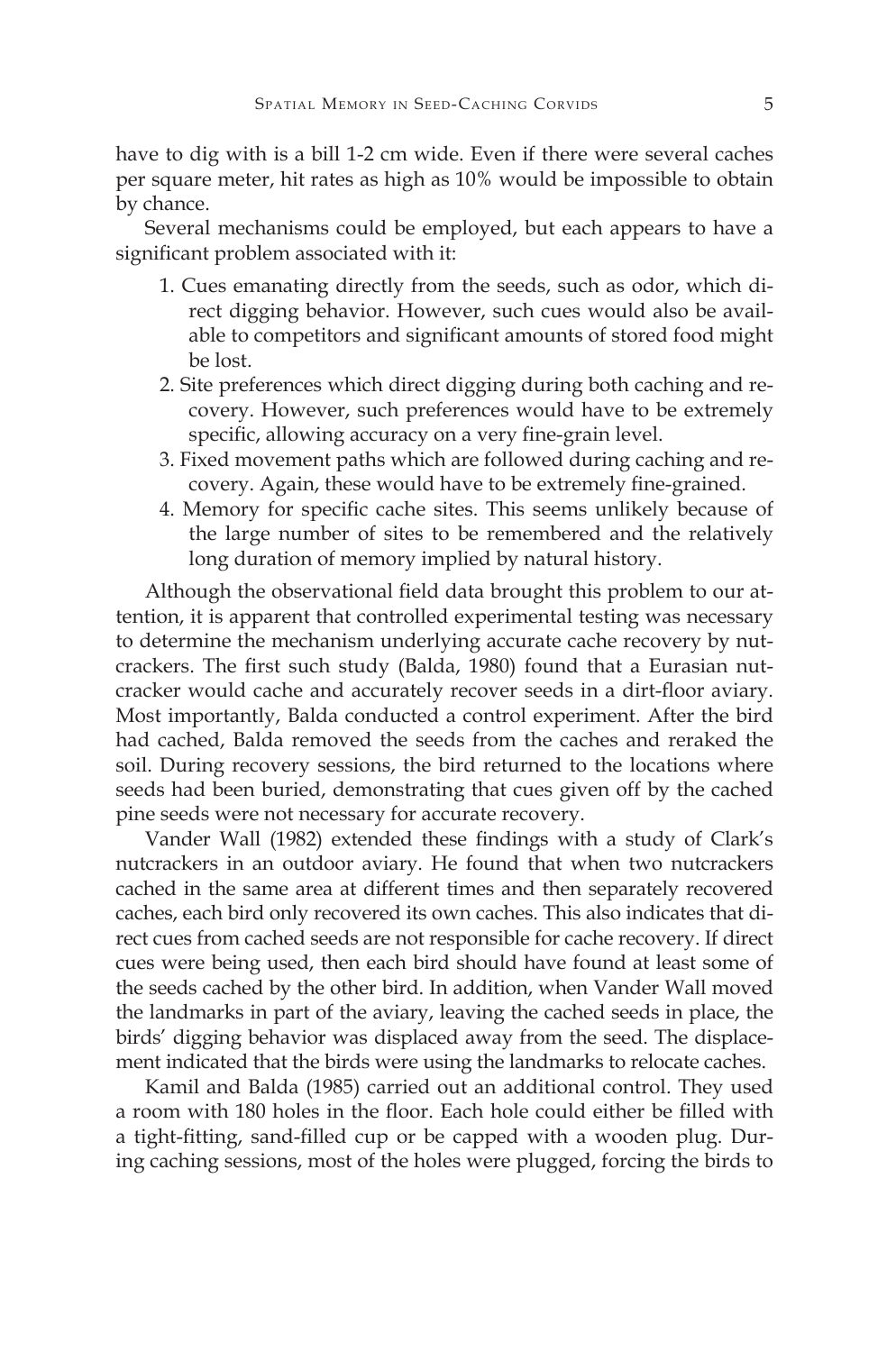have to dig with is a bill 1-2 cm wide. Even if there were several caches per square meter, hit rates as high as 10% would be impossible to obtain by chance.

Several mechanisms could be employed, but each appears to have a significant problem associated with it:

- 1. Cues emanating directly from the seeds, such as odor, which direct digging behavior. However, such cues would also be available to competitors and significant amounts of stored food might be lost.
- 2. Site preferences which direct digging during both caching and recovery. However, such preferences would have to be extremely specific, allowing accuracy on a very fine-grain level.
- 3. Fixed movement paths which are followed during caching and recovery. Again, these would have to be extremely fine-grained.
- 4. Memory for specific cache sites. This seems unlikely because of the large number of sites to be remembered and the relatively long duration of memory implied by natural history.

Although the observational field data brought this problem to our attention, it is apparent that controlled experimental testing was necessary to determine the mechanism underlying accurate cache recovery by nutcrackers. The first such study (Balda, 1980) found that a Eurasian nutcracker would cache and accurately recover seeds in a dirt-floor aviary. Most importantly, Balda conducted a control experiment. After the bird had cached, Balda removed the seeds from the caches and reraked the soil. During recovery sessions, the bird returned to the locations where seeds had been buried, demonstrating that cues given off by the cached pine seeds were not necessary for accurate recovery.

Vander Wall (1982) extended these findings with a study of Clark's nutcrackers in an outdoor aviary. He found that when two nutcrackers cached in the same area at different times and then separately recovered caches, each bird only recovered its own caches. This also indicates that direct cues from cached seeds are not responsible for cache recovery. If direct cues were being used, then each bird should have found at least some of the seeds cached by the other bird. In addition, when Vander Wall moved the landmarks in part of the aviary, leaving the cached seeds in place, the birds' digging behavior was displaced away from the seed. The displacement indicated that the birds were using the landmarks to relocate caches.

Kamil and Balda (1985) carried out an additional control. They used a room with 180 holes in the floor. Each hole could either be filled with a tight-fitting, sand-filled cup or be capped with a wooden plug. During caching sessions, most of the holes were plugged, forcing the birds to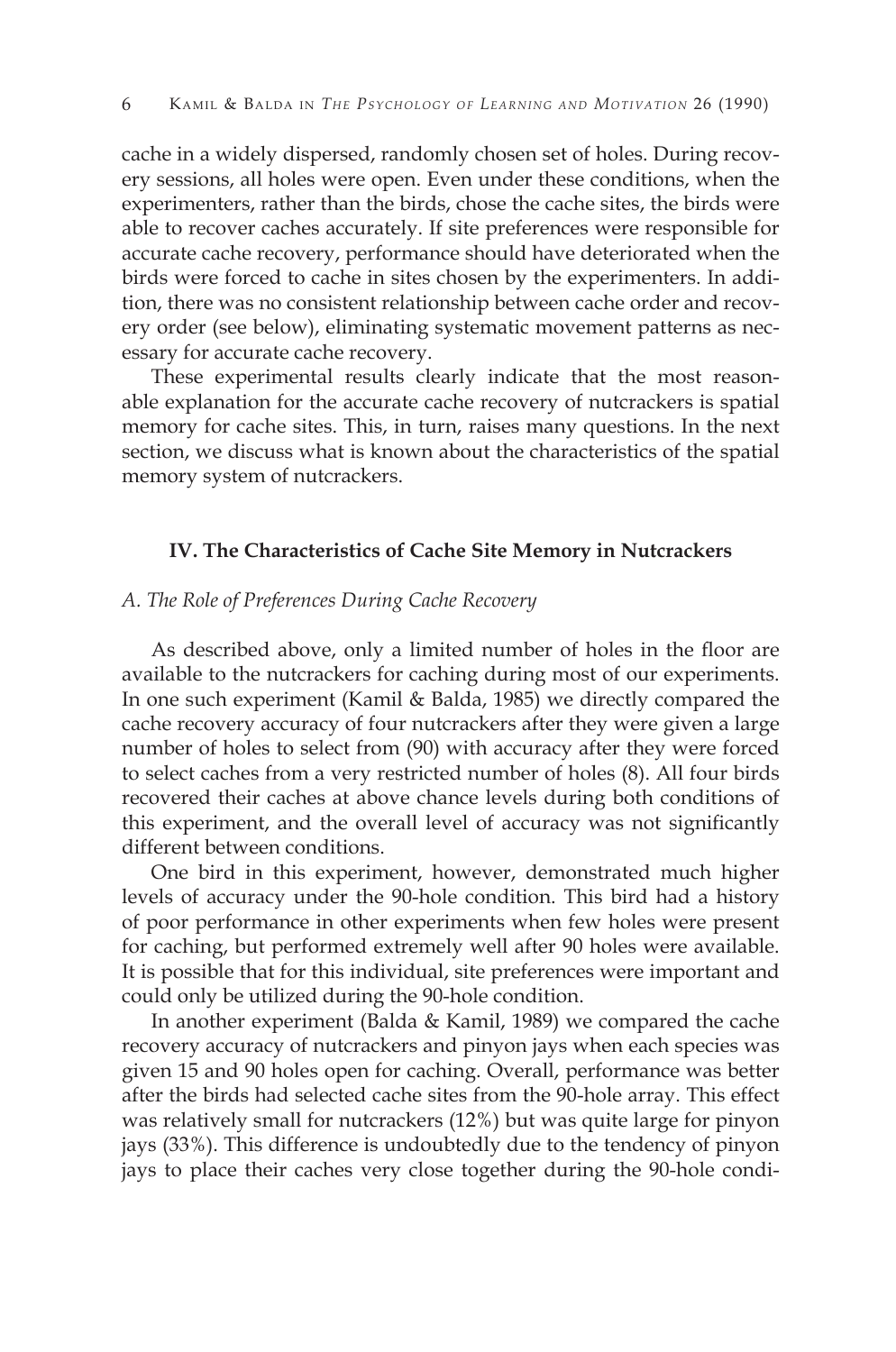cache in a widely dispersed, randomly chosen set of holes. During recovery sessions, all holes were open. Even under these conditions, when the experimenters, rather than the birds, chose the cache sites, the birds were able to recover caches accurately. If site preferences were responsible for accurate cache recovery, performance should have deteriorated when the birds were forced to cache in sites chosen by the experimenters. In addition, there was no consistent relationship between cache order and recovery order (see below), eliminating systematic movement patterns as necessary for accurate cache recovery.

These experimental results clearly indicate that the most reasonable explanation for the accurate cache recovery of nutcrackers is spatial memory for cache sites. This, in turn, raises many questions. In the next section, we discuss what is known about the characteristics of the spatial memory system of nutcrackers.

# **IV. The Characteristics of Cache Site Memory in Nutcrackers**

# *A. The Role of Preferences During Cache Recovery*

As described above, only a limited number of holes in the floor are available to the nutcrackers for caching during most of our experiments. In one such experiment (Kamil & Balda, 1985) we directly compared the cache recovery accuracy of four nutcrackers after they were given a large number of holes to select from (90) with accuracy after they were forced to select caches from a very restricted number of holes (8). All four birds recovered their caches at above chance levels during both conditions of this experiment, and the overall level of accuracy was not significantly different between conditions.

One bird in this experiment, however, demonstrated much higher levels of accuracy under the 90-hole condition. This bird had a history of poor performance in other experiments when few holes were present for caching, but performed extremely well after 90 holes were available. It is possible that for this individual, site preferences were important and could only be utilized during the 90-hole condition.

In another experiment (Balda & Kamil, 1989) we compared the cache recovery accuracy of nutcrackers and pinyon jays when each species was given 15 and 90 holes open for caching. Overall, performance was better after the birds had selected cache sites from the 90-hole array. This effect was relatively small for nutcrackers (12%) but was quite large for pinyon jays (33%). This difference is undoubtedly due to the tendency of pinyon jays to place their caches very close together during the 90-hole condi-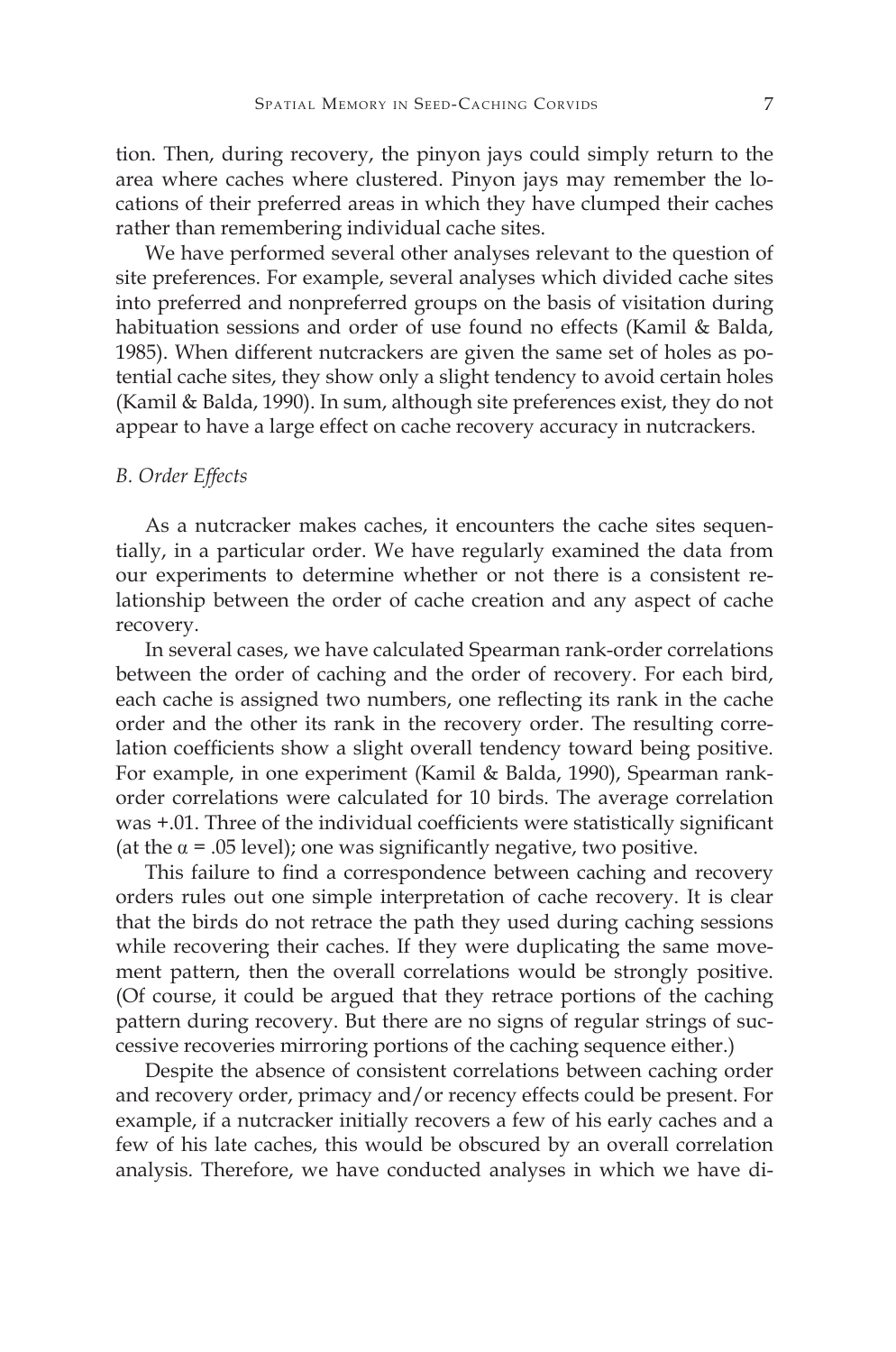tion. Then, during recovery, the pinyon jays could simply return to the area where caches where clustered. Pinyon jays may remember the locations of their preferred areas in which they have clumped their caches rather than remembering individual cache sites.

We have performed several other analyses relevant to the question of site preferences. For example, several analyses which divided cache sites into preferred and nonpreferred groups on the basis of visitation during habituation sessions and order of use found no effects (Kamil & Balda, 1985). When different nutcrackers are given the same set of holes as potential cache sites, they show only a slight tendency to avoid certain holes (Kamil & Balda, 1990). In sum, although site preferences exist, they do not appear to have a large effect on cache recovery accuracy in nutcrackers.

#### *B. Order Effects*

As a nutcracker makes caches, it encounters the cache sites sequentially, in a particular order. We have regularly examined the data from our experiments to determine whether or not there is a consistent relationship between the order of cache creation and any aspect of cache recovery.

In several cases, we have calculated Spearman rank-order correlations between the order of caching and the order of recovery. For each bird, each cache is assigned two numbers, one reflecting its rank in the cache order and the other its rank in the recovery order. The resulting correlation coefficients show a slight overall tendency toward being positive. For example, in one experiment (Kamil & Balda, 1990), Spearman rankorder correlations were calculated for 10 birds. The average correlation was +.01. Three of the individual coefficients were statistically significant (at the  $\alpha$  = .05 level); one was significantly negative, two positive.

This failure to find a correspondence between caching and recovery orders rules out one simple interpretation of cache recovery. It is clear that the birds do not retrace the path they used during caching sessions while recovering their caches. If they were duplicating the same movement pattern, then the overall correlations would be strongly positive. (Of course, it could be argued that they retrace portions of the caching pattern during recovery. But there are no signs of regular strings of successive recoveries mirroring portions of the caching sequence either.)

Despite the absence of consistent correlations between caching order and recovery order, primacy and/or recency effects could be present. For example, if a nutcracker initially recovers a few of his early caches and a few of his late caches, this would be obscured by an overall correlation analysis. Therefore, we have conducted analyses in which we have di-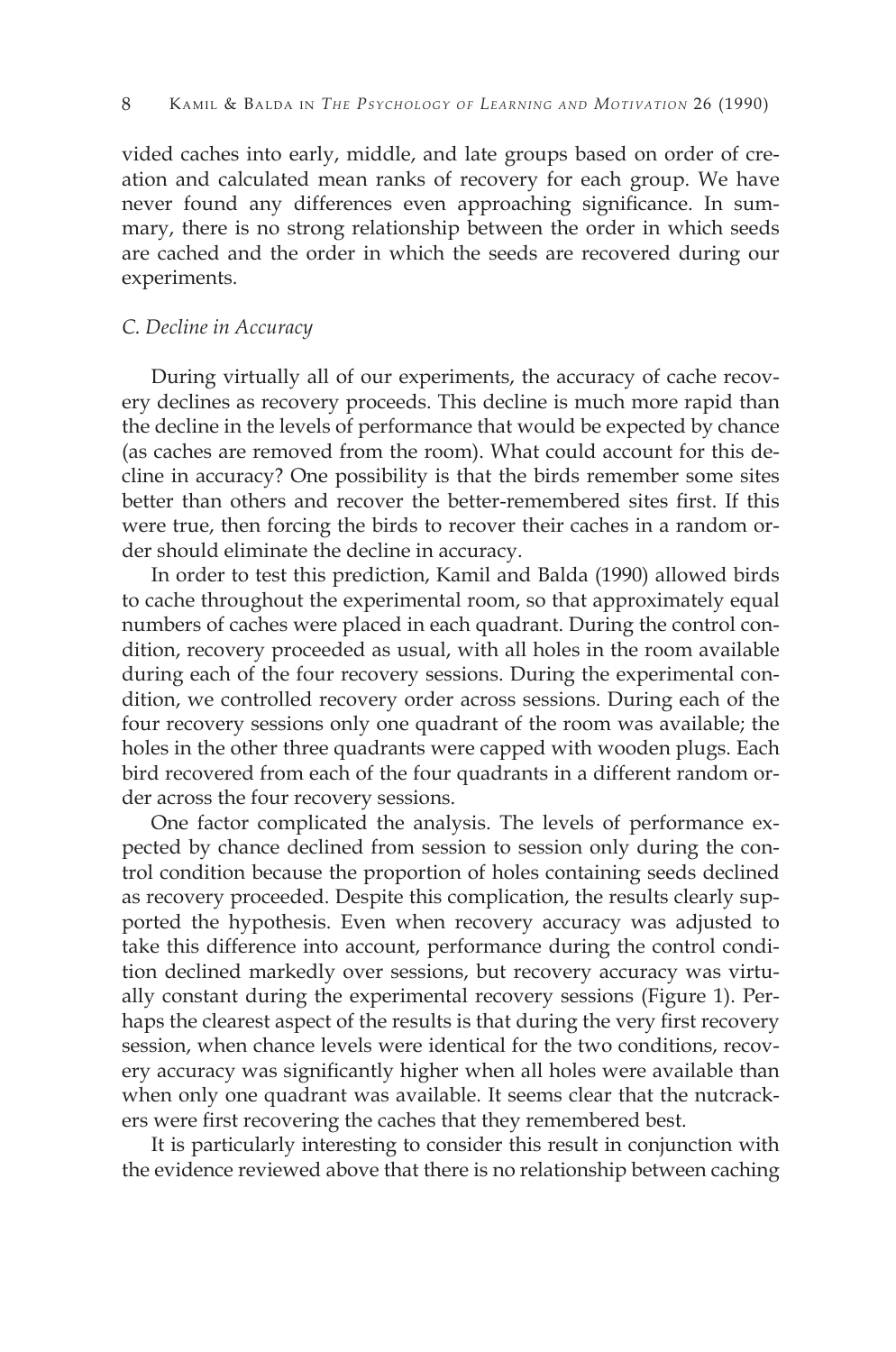vided caches into early, middle, and late groups based on order of creation and calculated mean ranks of recovery for each group. We have never found any differences even approaching significance. In summary, there is no strong relationship between the order in which seeds are cached and the order in which the seeds are recovered during our experiments.

# *C. Decline in Accuracy*

During virtually all of our experiments, the accuracy of cache recovery declines as recovery proceeds. This decline is much more rapid than the decline in the levels of performance that would be expected by chance (as caches are removed from the room). What could account for this decline in accuracy? One possibility is that the birds remember some sites better than others and recover the better-remembered sites first. If this were true, then forcing the birds to recover their caches in a random order should eliminate the decline in accuracy.

In order to test this prediction, Kamil and Balda (1990) allowed birds to cache throughout the experimental room, so that approximately equal numbers of caches were placed in each quadrant. During the control condition, recovery proceeded as usual, with all holes in the room available during each of the four recovery sessions. During the experimental condition, we controlled recovery order across sessions. During each of the four recovery sessions only one quadrant of the room was available; the holes in the other three quadrants were capped with wooden plugs. Each bird recovered from each of the four quadrants in a different random order across the four recovery sessions.

One factor complicated the analysis. The levels of performance expected by chance declined from session to session only during the control condition because the proportion of holes containing seeds declined as recovery proceeded. Despite this complication, the results clearly supported the hypothesis. Even when recovery accuracy was adjusted to take this difference into account, performance during the control condition declined markedly over sessions, but recovery accuracy was virtually constant during the experimental recovery sessions (Figure 1). Perhaps the clearest aspect of the results is that during the very first recovery session, when chance levels were identical for the two conditions, recovery accuracy was significantly higher when all holes were available than when only one quadrant was available. It seems clear that the nutcrackers were first recovering the caches that they remembered best.

It is particularly interesting to consider this result in conjunction with the evidence reviewed above that there is no relationship between caching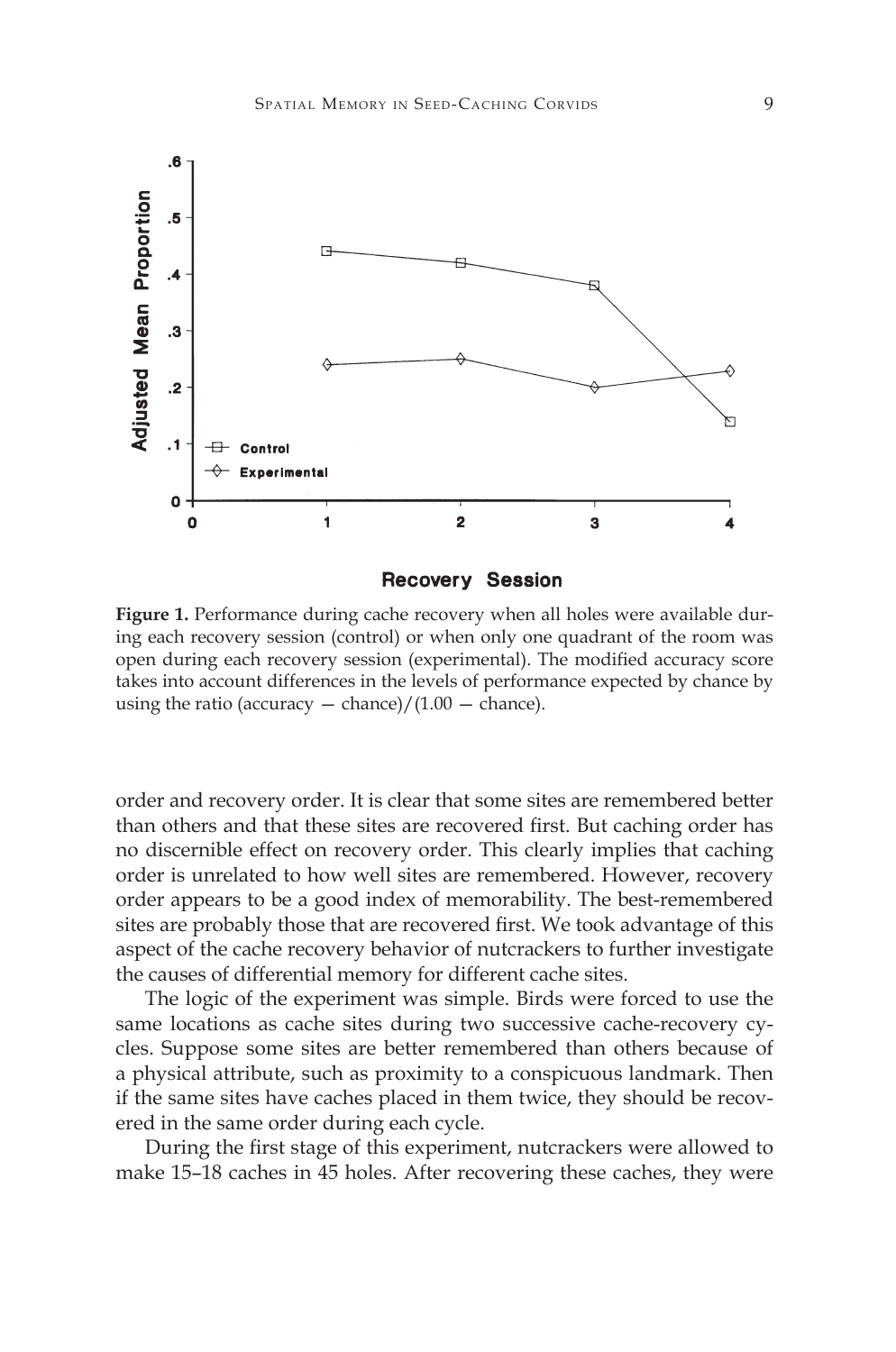

**Recovery Session** 

**Figure 1.** Performance during cache recovery when all holes were available during each recovery session (control) or when only one quadrant of the room was open during each recovery session (experimental). The modified accuracy score takes into account differences in the levels of performance expected by chance by using the ratio (accuracy  $-$  chance)/(1.00  $-$  chance).

order and recovery order. It is clear that some sites are remembered better than others and that these sites are recovered first. But caching order has no discernible effect on recovery order. This clearly implies that caching order is unrelated to how well sites are remembered. However, recovery order appears to be a good index of memorability. The best-remembered sites are probably those that are recovered first. We took advantage of this aspect of the cache recovery behavior of nutcrackers to further investigate the causes of differential memory for different cache sites.

The logic of the experiment was simple. Birds were forced to use the same locations as cache sites during two successive cache-recovery cycles. Suppose some sites are better remembered than others because of a physical attribute, such as proximity to a conspicuous landmark. Then if the same sites have caches placed in them twice, they should be recovered in the same order during each cycle.

During the first stage of this experiment, nutcrackers were allowed to make 15–18 caches in 45 holes. After recovering these caches, they were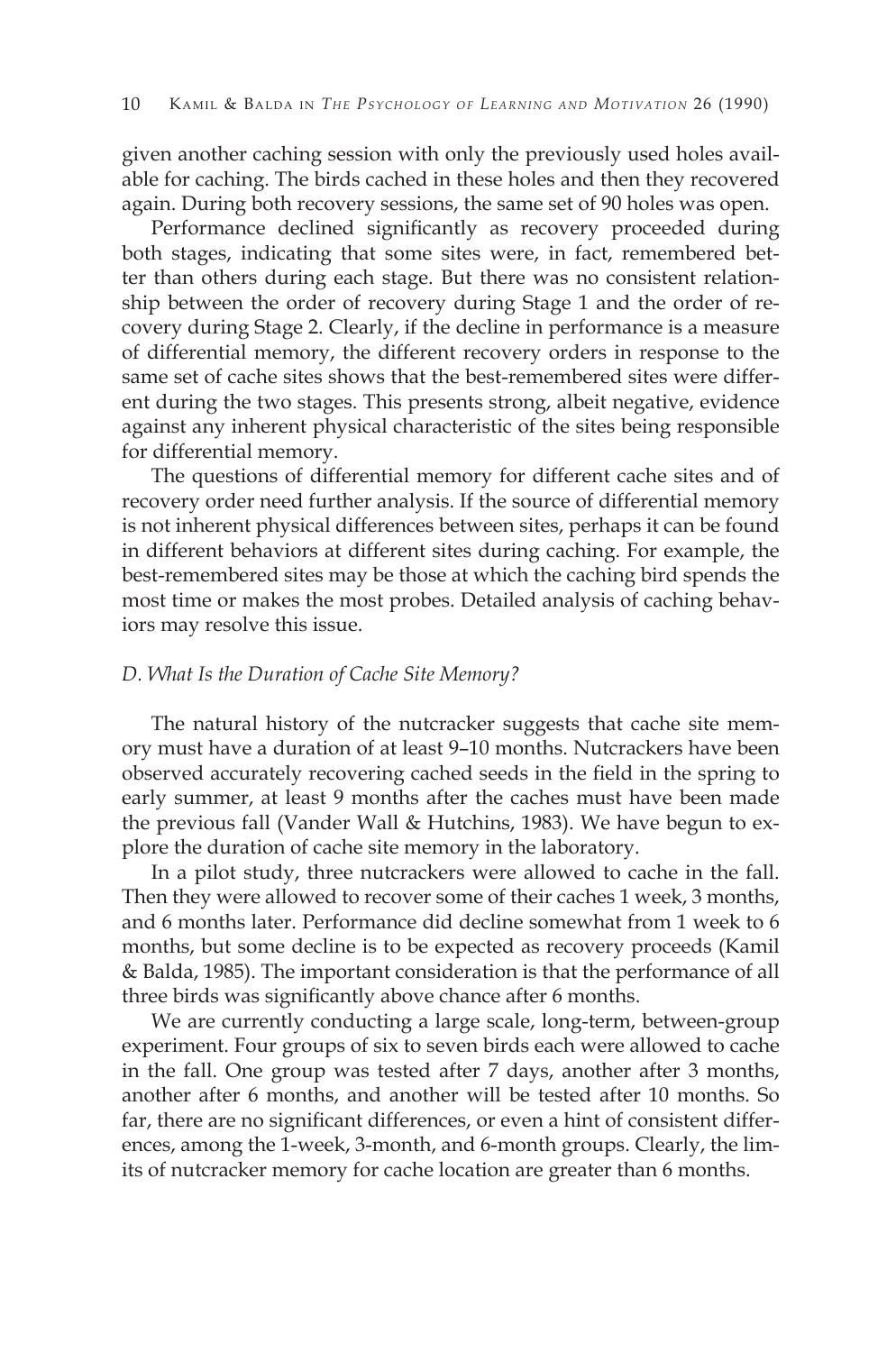given another caching session with only the previously used holes available for caching. The birds cached in these holes and then they recovered again. During both recovery sessions, the same set of 90 holes was open.

Performance declined significantly as recovery proceeded during both stages, indicating that some sites were, in fact, remembered better than others during each stage. But there was no consistent relationship between the order of recovery during Stage 1 and the order of recovery during Stage 2. Clearly, if the decline in performance is a measure of differential memory, the different recovery orders in response to the same set of cache sites shows that the best-remembered sites were different during the two stages. This presents strong, albeit negative, evidence against any inherent physical characteristic of the sites being responsible for differential memory.

The questions of differential memory for different cache sites and of recovery order need further analysis. If the source of differential memory is not inherent physical differences between sites, perhaps it can be found in different behaviors at different sites during caching. For example, the best-remembered sites may be those at which the caching bird spends the most time or makes the most probes. Detailed analysis of caching behaviors may resolve this issue.

#### *D. What Is the Duration of Cache Site Memory?*

The natural history of the nutcracker suggests that cache site memory must have a duration of at least 9–10 months. Nutcrackers have been observed accurately recovering cached seeds in the field in the spring to early summer, at least 9 months after the caches must have been made the previous fall (Vander Wall & Hutchins, 1983). We have begun to explore the duration of cache site memory in the laboratory.

In a pilot study, three nutcrackers were allowed to cache in the fall. Then they were allowed to recover some of their caches 1 week, 3 months, and 6 months later. Performance did decline somewhat from 1 week to 6 months, but some decline is to be expected as recovery proceeds (Kamil & Balda, 1985). The important consideration is that the performance of all three birds was significantly above chance after 6 months.

We are currently conducting a large scale, long-term, between-group experiment. Four groups of six to seven birds each were allowed to cache in the fall. One group was tested after 7 days, another after 3 months, another after 6 months, and another will be tested after 10 months. So far, there are no significant differences, or even a hint of consistent differences, among the 1-week, 3-month, and 6-month groups. Clearly, the limits of nutcracker memory for cache location are greater than 6 months.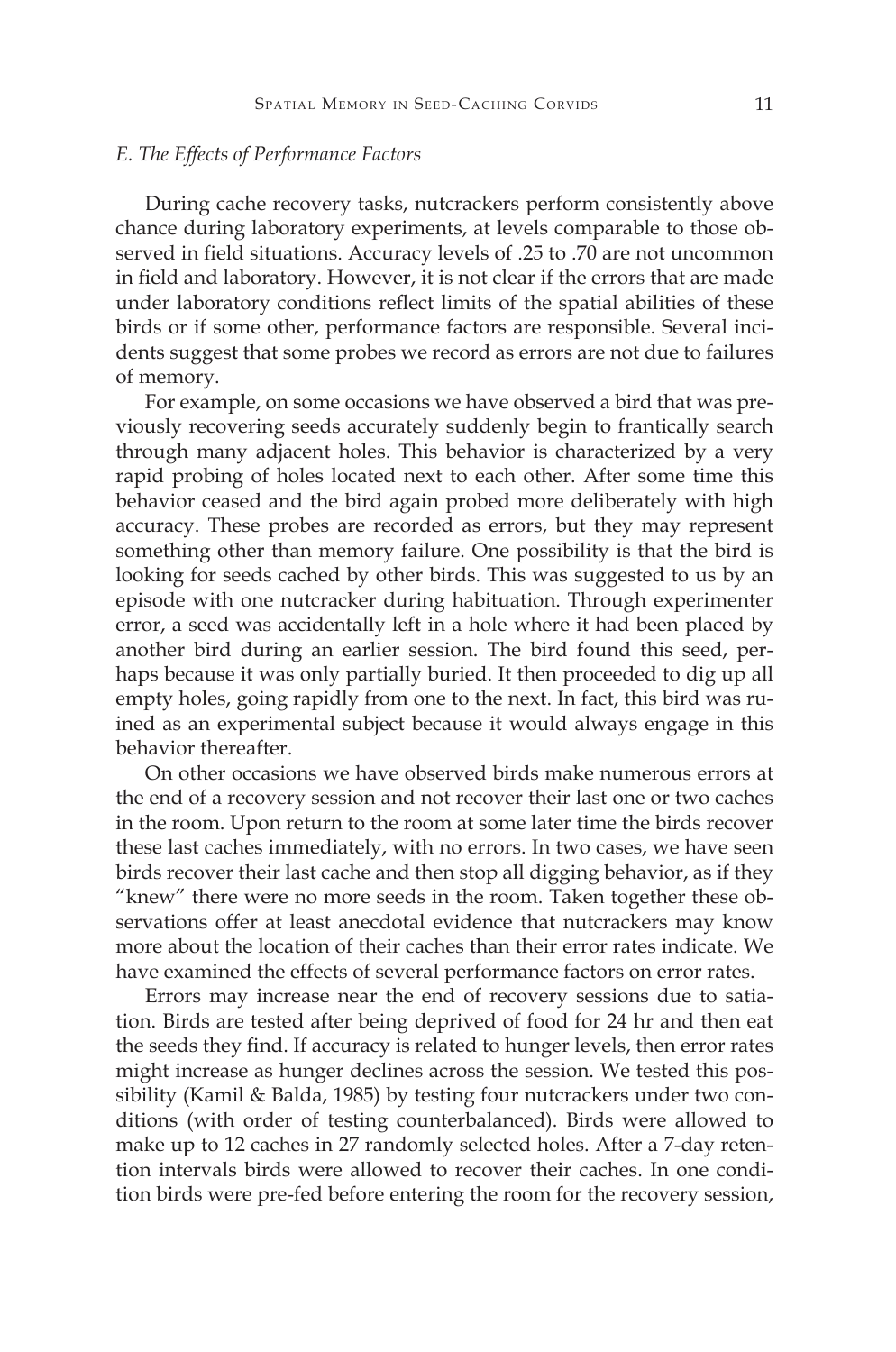# *E. The Effects of Performance Factors*

During cache recovery tasks, nutcrackers perform consistently above chance during laboratory experiments, at levels comparable to those observed in field situations. Accuracy levels of .25 to .70 are not uncommon in field and laboratory. However, it is not clear if the errors that are made under laboratory conditions reflect limits of the spatial abilities of these birds or if some other, performance factors are responsible. Several incidents suggest that some probes we record as errors are not due to failures of memory.

For example, on some occasions we have observed a bird that was previously recovering seeds accurately suddenly begin to frantically search through many adjacent holes. This behavior is characterized by a very rapid probing of holes located next to each other. After some time this behavior ceased and the bird again probed more deliberately with high accuracy. These probes are recorded as errors, but they may represent something other than memory failure. One possibility is that the bird is looking for seeds cached by other birds. This was suggested to us by an episode with one nutcracker during habituation. Through experimenter error, a seed was accidentally left in a hole where it had been placed by another bird during an earlier session. The bird found this seed, perhaps because it was only partially buried. It then proceeded to dig up all empty holes, going rapidly from one to the next. In fact, this bird was ruined as an experimental subject because it would always engage in this behavior thereafter.

On other occasions we have observed birds make numerous errors at the end of a recovery session and not recover their last one or two caches in the room. Upon return to the room at some later time the birds recover these last caches immediately, with no errors. In two cases, we have seen birds recover their last cache and then stop all digging behavior, as if they "knew" there were no more seeds in the room. Taken together these observations offer at least anecdotal evidence that nutcrackers may know more about the location of their caches than their error rates indicate. We have examined the effects of several performance factors on error rates.

Errors may increase near the end of recovery sessions due to satiation. Birds are tested after being deprived of food for 24 hr and then eat the seeds they find. If accuracy is related to hunger levels, then error rates might increase as hunger declines across the session. We tested this possibility (Kamil & Balda, 1985) by testing four nutcrackers under two conditions (with order of testing counterbalanced). Birds were allowed to make up to 12 caches in 27 randomly selected holes. After a 7-day retention intervals birds were allowed to recover their caches. In one condition birds were pre-fed before entering the room for the recovery session,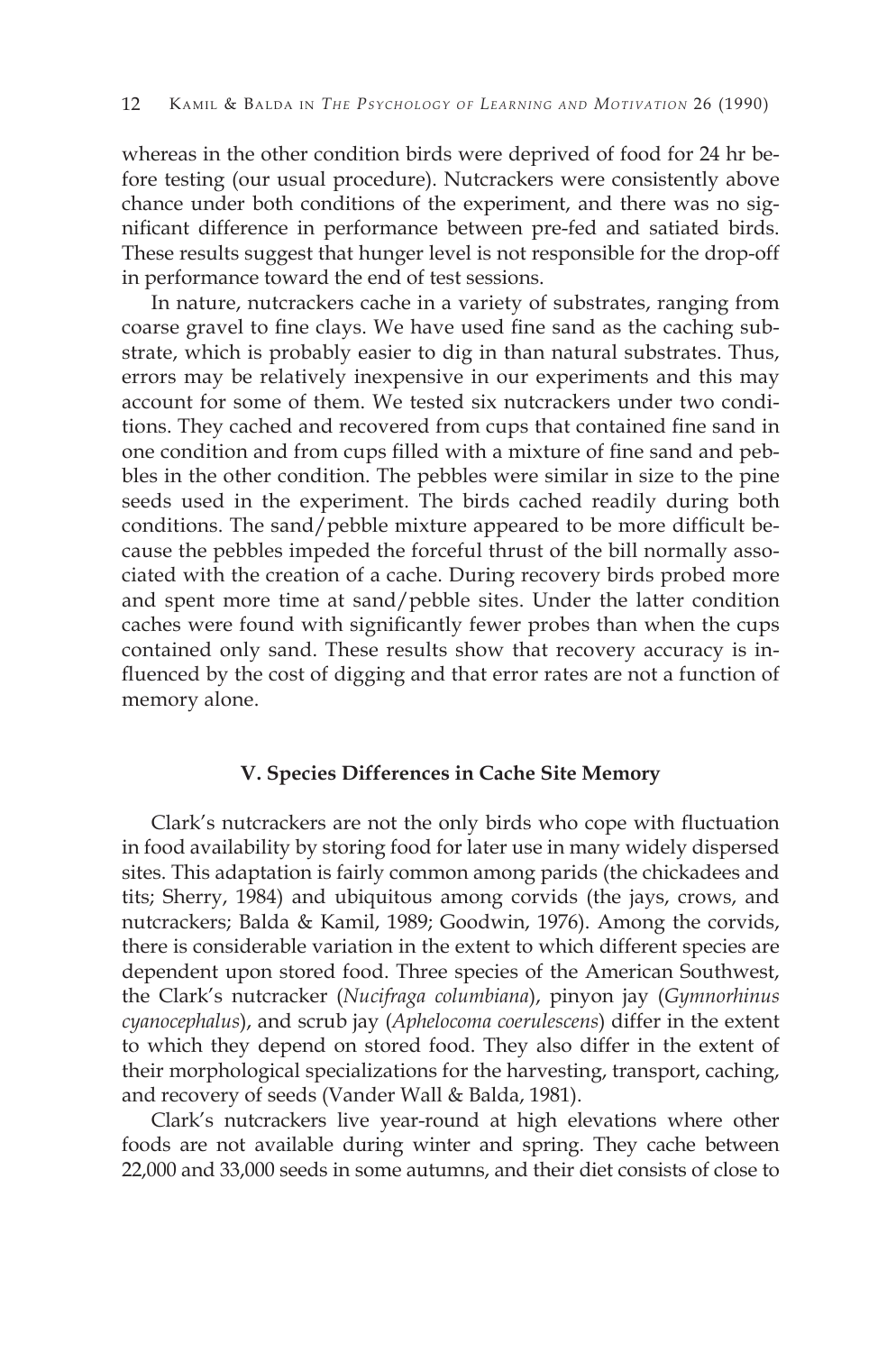whereas in the other condition birds were deprived of food for 24 hr before testing (our usual procedure). Nutcrackers were consistently above chance under both conditions of the experiment, and there was no significant difference in performance between pre-fed and satiated birds. These results suggest that hunger level is not responsible for the drop-off in performance toward the end of test sessions.

In nature, nutcrackers cache in a variety of substrates, ranging from coarse gravel to fine clays. We have used fine sand as the caching substrate, which is probably easier to dig in than natural substrates. Thus, errors may be relatively inexpensive in our experiments and this may account for some of them. We tested six nutcrackers under two conditions. They cached and recovered from cups that contained fine sand in one condition and from cups filled with a mixture of fine sand and pebbles in the other condition. The pebbles were similar in size to the pine seeds used in the experiment. The birds cached readily during both conditions. The sand/pebble mixture appeared to be more difficult because the pebbles impeded the forceful thrust of the bill normally associated with the creation of a cache. During recovery birds probed more and spent more time at sand/pebble sites. Under the latter condition caches were found with significantly fewer probes than when the cups contained only sand. These results show that recovery accuracy is influenced by the cost of digging and that error rates are not a function of memory alone.

# **V. Species Differences in Cache Site Memory**

Clark's nutcrackers are not the only birds who cope with fluctuation in food availability by storing food for later use in many widely dispersed sites. This adaptation is fairly common among parids (the chickadees and tits; Sherry, 1984) and ubiquitous among corvids (the jays, crows, and nutcrackers; Balda & Kamil, 1989; Goodwin, 1976). Among the corvids, there is considerable variation in the extent to which different species are dependent upon stored food. Three species of the American Southwest, the Clark's nutcracker (*Nucifraga columbiana*), pinyon jay (*Gymnorhinus cyanocephalus*), and scrub jay (*Aphelocoma coerulescens*) differ in the extent to which they depend on stored food. They also differ in the extent of their morphological specializations for the harvesting, transport, caching, and recovery of seeds (Vander Wall & Balda, 1981).

Clark's nutcrackers live year-round at high elevations where other foods are not available during winter and spring. They cache between 22,000 and 33,000 seeds in some autumns, and their diet consists of close to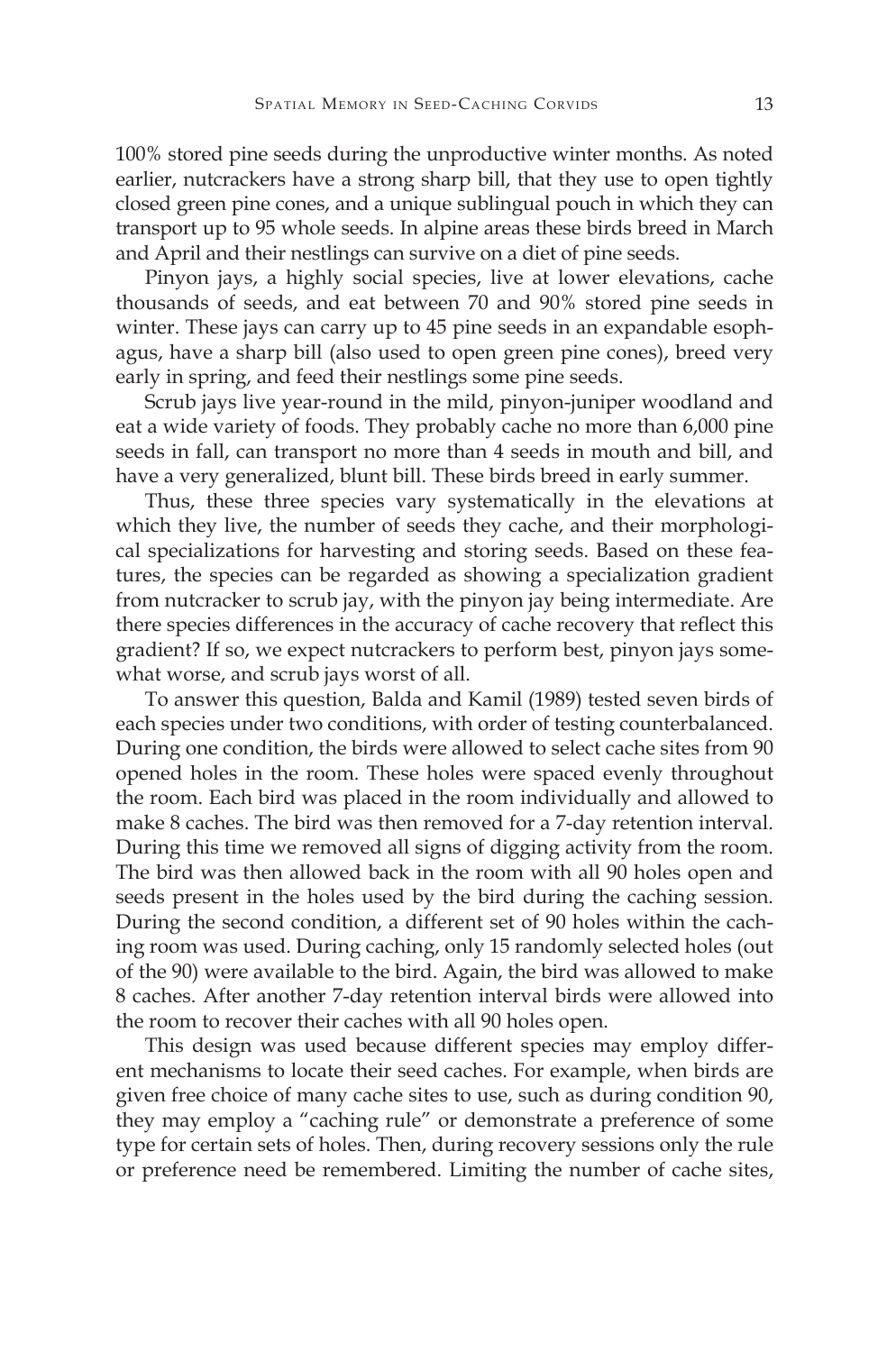100% stored pine seeds during the unproductive winter months. As noted earlier, nutcrackers have a strong sharp bill, that they use to open tightly closed green pine cones, and a unique sublingual pouch in which they can transport up to 95 whole seeds. In alpine areas these birds breed in March and April and their nestlings can survive on a diet of pine seeds.

Pinyon jays, a highly social species, live at lower elevations, cache thousands of seeds, and eat between 70 and 90% stored pine seeds in winter. These jays can carry up to 45 pine seeds in an expandable esophagus, have a sharp bill (also used to open green pine cones), breed very early in spring, and feed their nestlings some pine seeds.

Scrub jays live year-round in the mild, pinyon-juniper woodland and eat a wide variety of foods. They probably cache no more than 6,000 pine seeds in fall, can transport no more than 4 seeds in mouth and bill, and have a very generalized, blunt bill. These birds breed in early summer.

Thus, these three species vary systematically in the elevations at which they live, the number of seeds they cache, and their morphological specializations for harvesting and storing seeds. Based on these features, the species can be regarded as showing a specialization gradient from nutcracker to scrub jay, with the pinyon jay being intermediate. Are there species differences in the accuracy of cache recovery that reflect this gradient? If so, we expect nutcrackers to perform best, pinyon jays somewhat worse, and scrub jays worst of all.

To answer this question, Balda and Kamil (1989) tested seven birds of each species under two conditions, with order of testing counterbalanced. During one condition, the birds were allowed to select cache sites from 90 opened holes in the room. These holes were spaced evenly throughout the room. Each bird was placed in the room individually and allowed to make 8 caches. The bird was then removed for a 7-day retention interval. During this time we removed all signs of digging activity from the room. The bird was then allowed back in the room with all 90 holes open and seeds present in the holes used by the bird during the caching session. During the second condition, a different set of 90 holes within the caching room was used. During caching, only 15 randomly selected holes (out of the 90) were available to the bird. Again, the bird was allowed to make 8 caches. After another 7-day retention interval birds were allowed into the room to recover their caches with all 90 holes open.

This design was used because different species may employ different mechanisms to locate their seed caches. For example, when birds are given free choice of many cache sites to use, such as during condition 90, they may employ a "caching rule" or demonstrate a preference of some type for certain sets of holes. Then, during recovery sessions only the rule or preference need be remembered. Limiting the number of cache sites,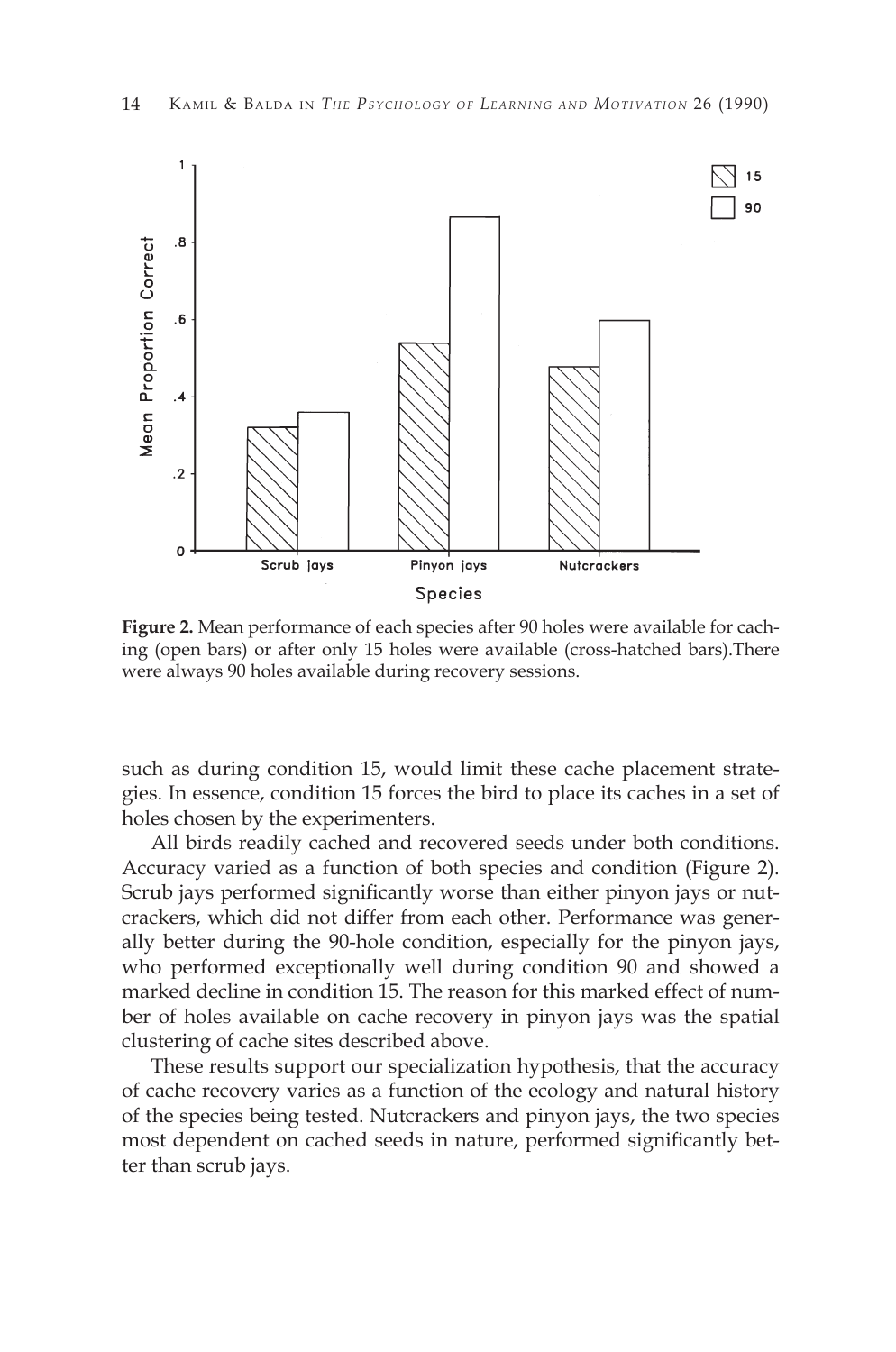

**Figure 2.** Mean performance of each species after 90 holes were available for caching (open bars) or after only 15 holes were available (cross-hatched bars).There were always 90 holes available during recovery sessions.

such as during condition 15, would limit these cache placement strategies. In essence, condition 15 forces the bird to place its caches in a set of holes chosen by the experimenters.

All birds readily cached and recovered seeds under both conditions. Accuracy varied as a function of both species and condition (Figure 2). Scrub jays performed significantly worse than either pinyon jays or nutcrackers, which did not differ from each other. Performance was generally better during the 90-hole condition, especially for the pinyon jays, who performed exceptionally well during condition 90 and showed a marked decline in condition 15. The reason for this marked effect of number of holes available on cache recovery in pinyon jays was the spatial clustering of cache sites described above.

These results support our specialization hypothesis, that the accuracy of cache recovery varies as a function of the ecology and natural history of the species being tested. Nutcrackers and pinyon jays, the two species most dependent on cached seeds in nature, performed significantly better than scrub jays.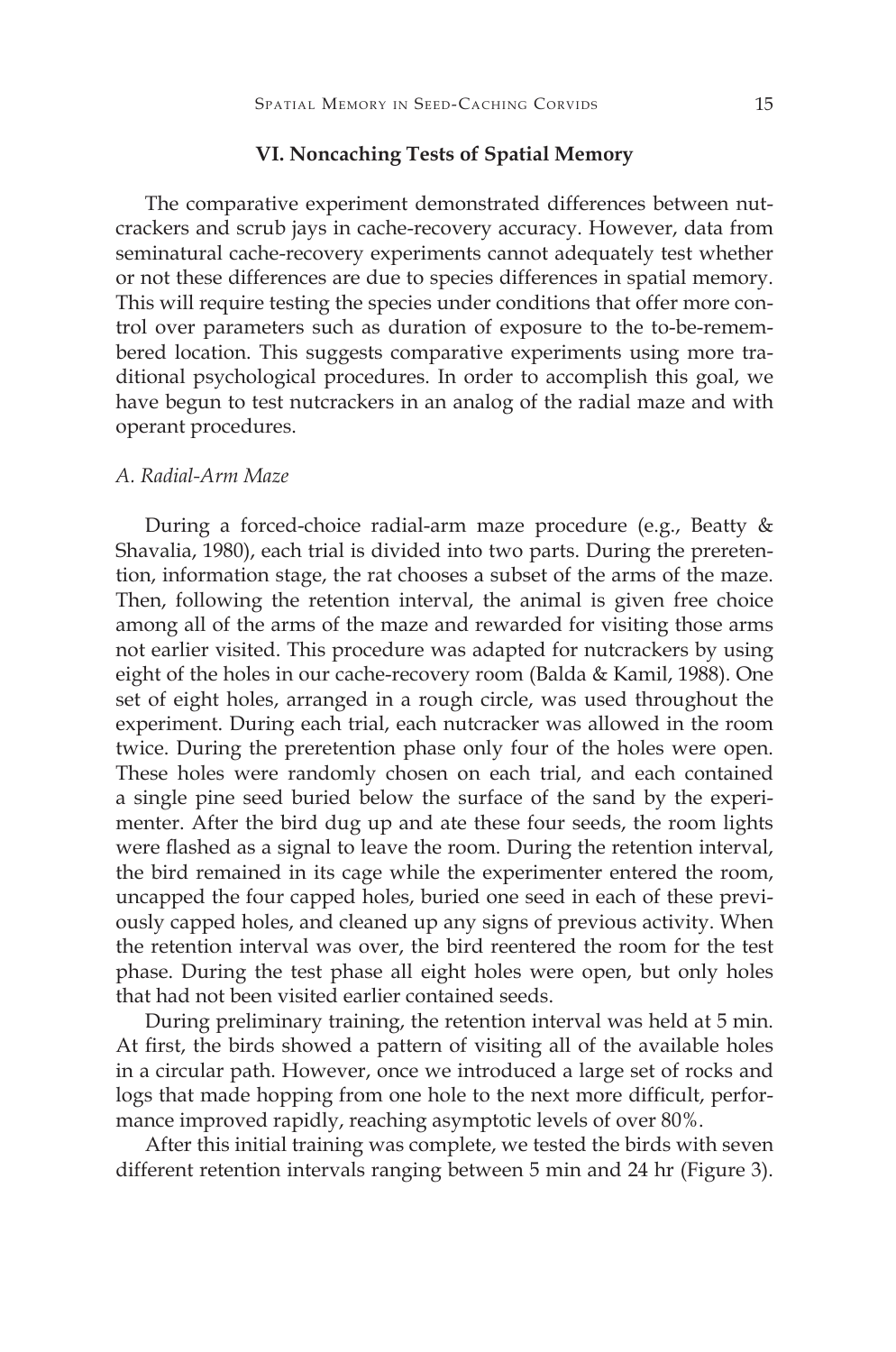#### **VI. Noncaching Tests of Spatial Memory**

The comparative experiment demonstrated differences between nutcrackers and scrub jays in cache-recovery accuracy. However, data from seminatural cache-recovery experiments cannot adequately test whether or not these differences are due to species differences in spatial memory. This will require testing the species under conditions that offer more control over parameters such as duration of exposure to the to-be-remembered location. This suggests comparative experiments using more traditional psychological procedures. In order to accomplish this goal, we have begun to test nutcrackers in an analog of the radial maze and with operant procedures.

#### *A. Radial-Arm Maze*

During a forced-choice radial-arm maze procedure (e.g., Beatty & Shavalia, 1980), each trial is divided into two parts. During the preretention, information stage, the rat chooses a subset of the arms of the maze. Then, following the retention interval, the animal is given free choice among all of the arms of the maze and rewarded for visiting those arms not earlier visited. This procedure was adapted for nutcrackers by using eight of the holes in our cache-recovery room (Balda & Kamil, 1988). One set of eight holes, arranged in a rough circle, was used throughout the experiment. During each trial, each nutcracker was allowed in the room twice. During the preretention phase only four of the holes were open. These holes were randomly chosen on each trial, and each contained a single pine seed buried below the surface of the sand by the experimenter. After the bird dug up and ate these four seeds, the room lights were flashed as a signal to leave the room. During the retention interval, the bird remained in its cage while the experimenter entered the room, uncapped the four capped holes, buried one seed in each of these previously capped holes, and cleaned up any signs of previous activity. When the retention interval was over, the bird reentered the room for the test phase. During the test phase all eight holes were open, but only holes that had not been visited earlier contained seeds.

During preliminary training, the retention interval was held at 5 min. At first, the birds showed a pattern of visiting all of the available holes in a circular path. However, once we introduced a large set of rocks and logs that made hopping from one hole to the next more difficult, performance improved rapidly, reaching asymptotic levels of over 80%.

After this initial training was complete, we tested the birds with seven different retention intervals ranging between 5 min and 24 hr (Figure 3).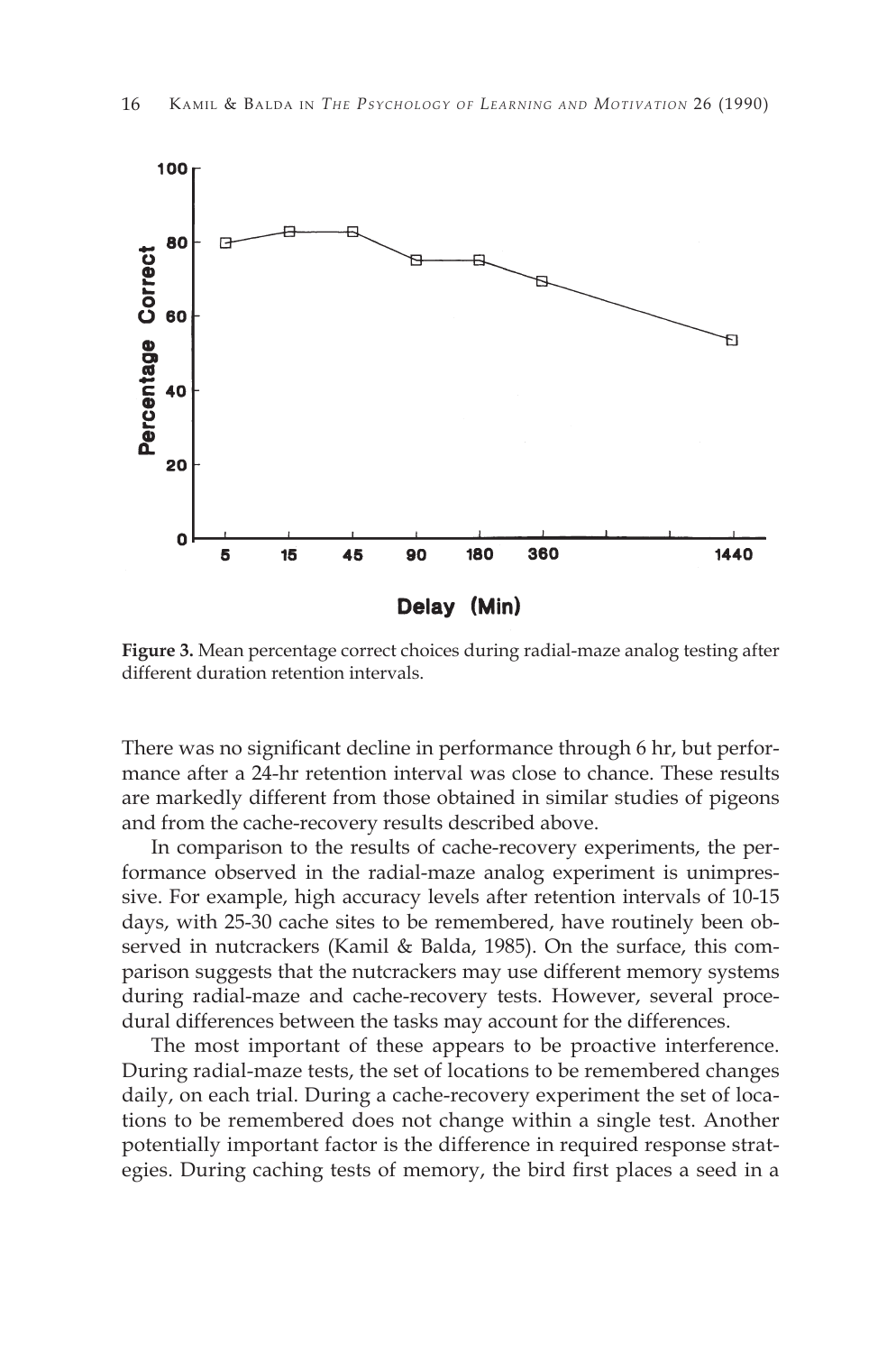

**Figure 3.** Mean percentage correct choices during radial-maze analog testing after different duration retention intervals.

There was no significant decline in performance through 6 hr, but performance after a 24-hr retention interval was close to chance. These results are markedly different from those obtained in similar studies of pigeons and from the cache-recovery results described above.

In comparison to the results of cache-recovery experiments, the performance observed in the radial-maze analog experiment is unimpressive. For example, high accuracy levels after retention intervals of 10-15 days, with 25-30 cache sites to be remembered, have routinely been observed in nutcrackers (Kamil & Balda, 1985). On the surface, this comparison suggests that the nutcrackers may use different memory systems during radial-maze and cache-recovery tests. However, several procedural differences between the tasks may account for the differences.

The most important of these appears to be proactive interference. During radial-maze tests, the set of locations to be remembered changes daily, on each trial. During a cache-recovery experiment the set of locations to be remembered does not change within a single test. Another potentially important factor is the difference in required response strategies. During caching tests of memory, the bird first places a seed in a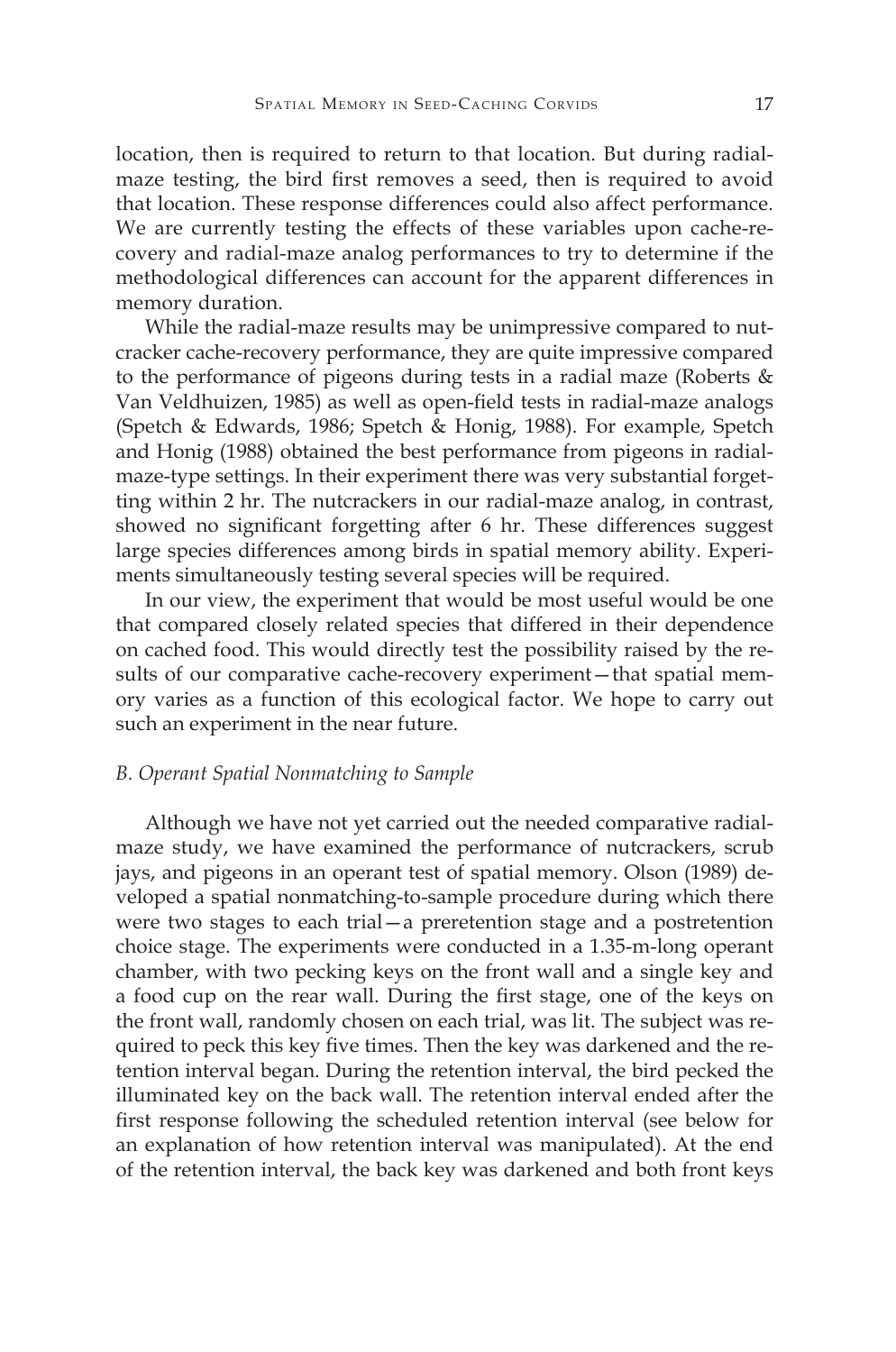location, then is required to return to that location. But during radialmaze testing, the bird first removes a seed, then is required to avoid that location. These response differences could also affect performance. We are currently testing the effects of these variables upon cache-recovery and radial-maze analog performances to try to determine if the methodological differences can account for the apparent differences in memory duration.

While the radial-maze results may be unimpressive compared to nutcracker cache-recovery performance, they are quite impressive compared to the performance of pigeons during tests in a radial maze (Roberts  $\&$ Van Veldhuizen, 1985) as well as open-field tests in radial-maze analogs (Spetch & Edwards, 1986; Spetch & Honig, 1988). For example, Spetch and Honig (1988) obtained the best performance from pigeons in radialmaze-type settings. In their experiment there was very substantial forgetting within 2 hr. The nutcrackers in our radial-maze analog, in contrast, showed no significant forgetting after 6 hr. These differences suggest large species differences among birds in spatial memory ability. Experiments simultaneously testing several species will be required.

In our view, the experiment that would be most useful would be one that compared closely related species that differed in their dependence on cached food. This would directly test the possibility raised by the results of our comparative cache-recovery experiment—that spatial memory varies as a function of this ecological factor. We hope to carry out such an experiment in the near future.

# *B. Operant Spatial Nonmatching to Sample*

Although we have not yet carried out the needed comparative radialmaze study, we have examined the performance of nutcrackers, scrub jays, and pigeons in an operant test of spatial memory. Olson (1989) developed a spatial nonmatching-to-sample procedure during which there were two stages to each trial—a preretention stage and a postretention choice stage. The experiments were conducted in a 1.35-m-long operant chamber, with two pecking keys on the front wall and a single key and a food cup on the rear wall. During the first stage, one of the keys on the front wall, randomly chosen on each trial, was lit. The subject was required to peck this key five times. Then the key was darkened and the retention interval began. During the retention interval, the bird pecked the illuminated key on the back wall. The retention interval ended after the first response following the scheduled retention interval (see below for an explanation of how retention interval was manipulated). At the end of the retention interval, the back key was darkened and both front keys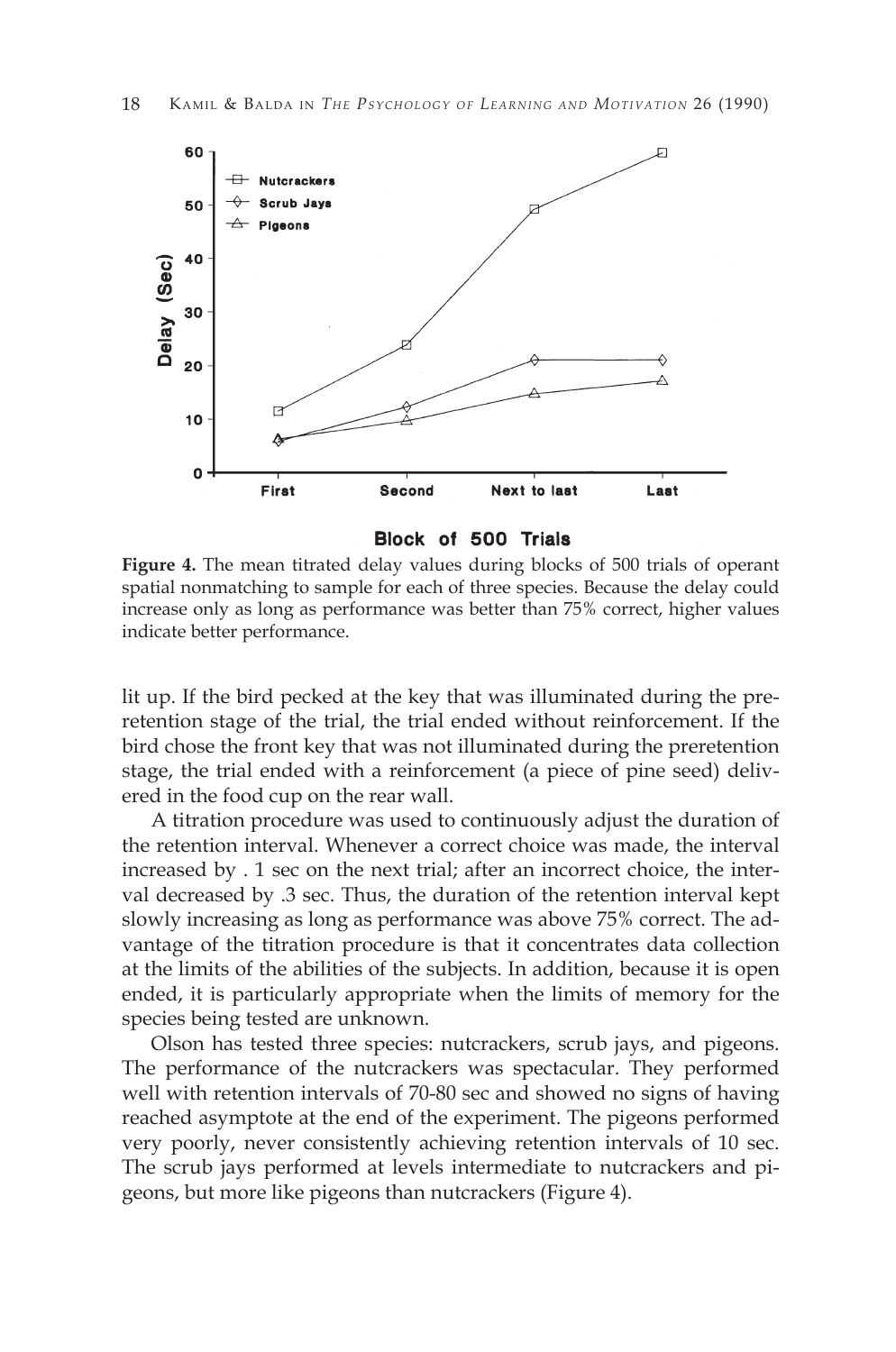

Block of 500 Trials

**Figure 4.** The mean titrated delay values during blocks of 500 trials of operant spatial nonmatching to sample for each of three species. Because the delay could increase only as long as performance was better than 75% correct, higher values indicate better performance.

lit up. If the bird pecked at the key that was illuminated during the preretention stage of the trial, the trial ended without reinforcement. If the bird chose the front key that was not illuminated during the preretention stage, the trial ended with a reinforcement (a piece of pine seed) delivered in the food cup on the rear wall.

A titration procedure was used to continuously adjust the duration of the retention interval. Whenever a correct choice was made, the interval increased by . 1 sec on the next trial; after an incorrect choice, the interval decreased by .3 sec. Thus, the duration of the retention interval kept slowly increasing as long as performance was above 75% correct. The advantage of the titration procedure is that it concentrates data collection at the limits of the abilities of the subjects. In addition, because it is open ended, it is particularly appropriate when the limits of memory for the species being tested are unknown.

Olson has tested three species: nutcrackers, scrub jays, and pigeons. The performance of the nutcrackers was spectacular. They performed well with retention intervals of 70-80 sec and showed no signs of having reached asymptote at the end of the experiment. The pigeons performed very poorly, never consistently achieving retention intervals of 10 sec. The scrub jays performed at levels intermediate to nutcrackers and pigeons, but more like pigeons than nutcrackers (Figure 4).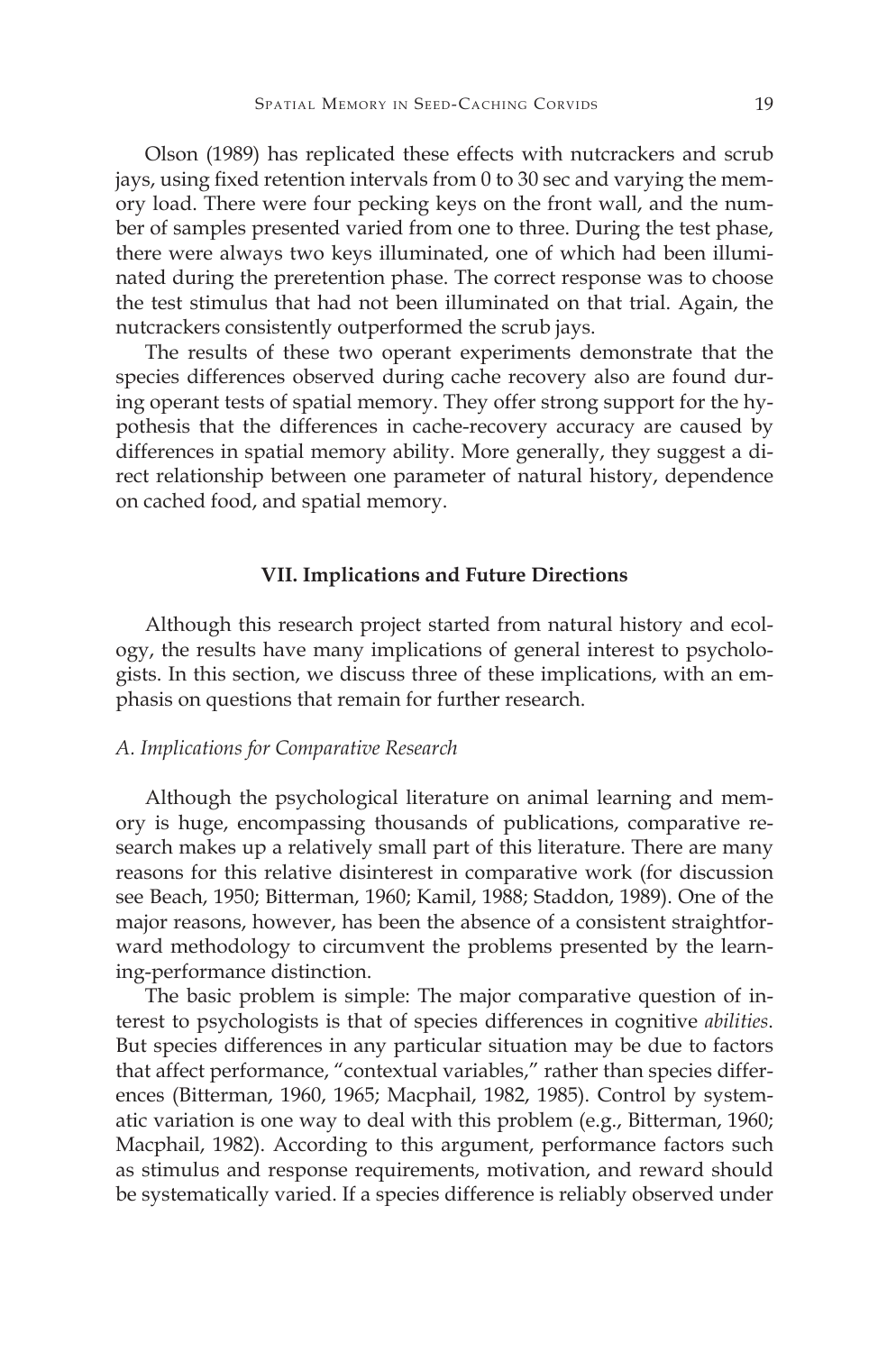Olson (1989) has replicated these effects with nutcrackers and scrub jays, using fixed retention intervals from 0 to 30 sec and varying the memory load. There were four pecking keys on the front wall, and the number of samples presented varied from one to three. During the test phase, there were always two keys illuminated, one of which had been illuminated during the preretention phase. The correct response was to choose the test stimulus that had not been illuminated on that trial. Again, the nutcrackers consistently outperformed the scrub jays.

The results of these two operant experiments demonstrate that the species differences observed during cache recovery also are found during operant tests of spatial memory. They offer strong support for the hypothesis that the differences in cache-recovery accuracy are caused by differences in spatial memory ability. More generally, they suggest a direct relationship between one parameter of natural history, dependence on cached food, and spatial memory.

#### **VII. Implications and Future Directions**

Although this research project started from natural history and ecology, the results have many implications of general interest to psychologists. In this section, we discuss three of these implications, with an emphasis on questions that remain for further research.

#### *A. Implications for Comparative Research*

Although the psychological literature on animal learning and memory is huge, encompassing thousands of publications, comparative research makes up a relatively small part of this literature. There are many reasons for this relative disinterest in comparative work (for discussion see Beach, 1950; Bitterman, 1960; Kamil, 1988; Staddon, 1989). One of the major reasons, however, has been the absence of a consistent straightforward methodology to circumvent the problems presented by the learning-performance distinction.

The basic problem is simple: The major comparative question of interest to psychologists is that of species differences in cognitive *abilities*. But species differences in any particular situation may be due to factors that affect performance, "contextual variables," rather than species differences (Bitterman, 1960, 1965; Macphail, 1982, 1985). Control by systematic variation is one way to deal with this problem (e.g., Bitterman, 1960; Macphail, 1982). According to this argument, performance factors such as stimulus and response requirements, motivation, and reward should be systematically varied. If a species difference is reliably observed under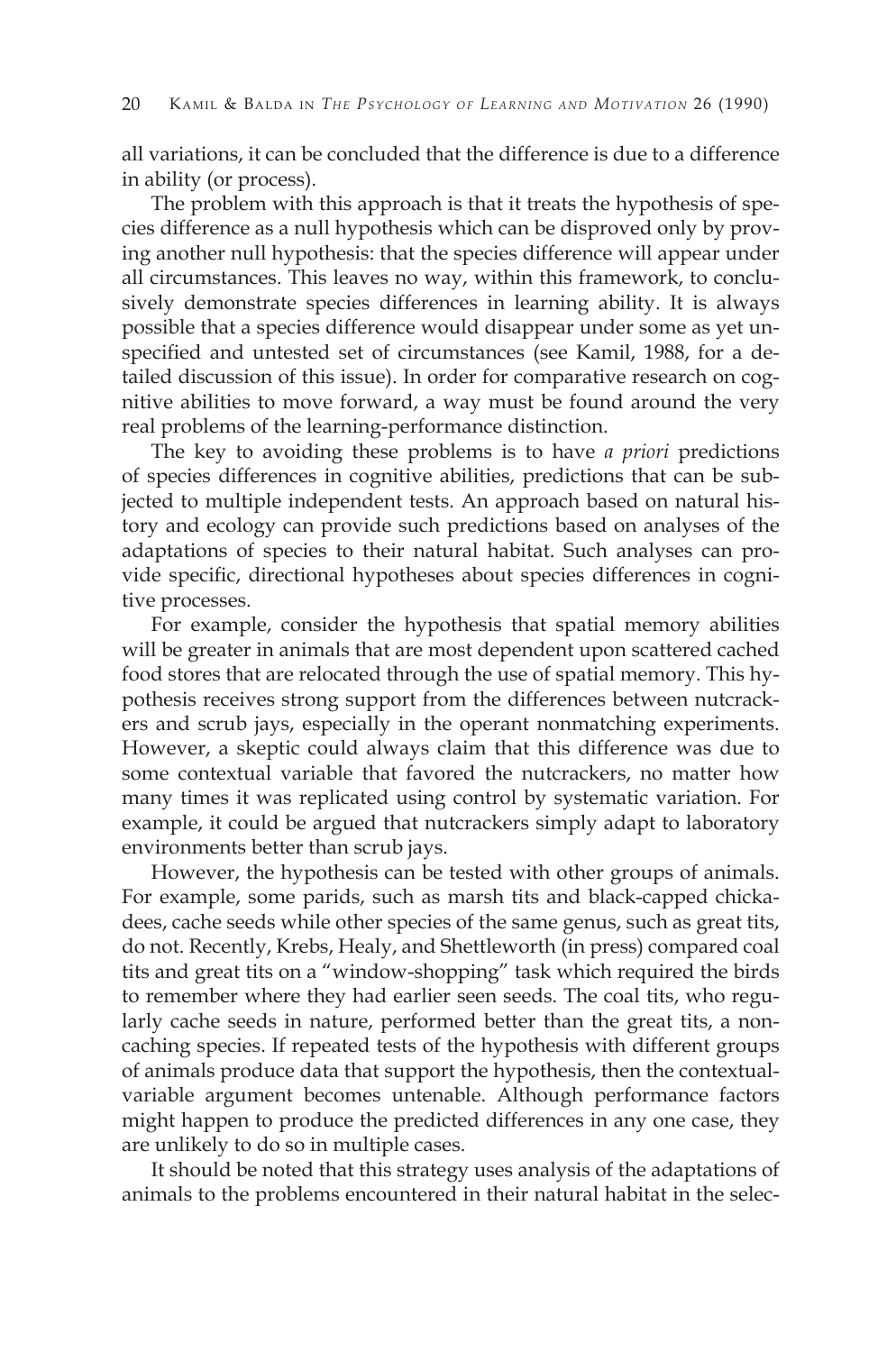all variations, it can be concluded that the difference is due to a difference in ability (or process).

The problem with this approach is that it treats the hypothesis of species difference as a null hypothesis which can be disproved only by proving another null hypothesis: that the species difference will appear under all circumstances. This leaves no way, within this framework, to conclusively demonstrate species differences in learning ability. It is always possible that a species difference would disappear under some as yet unspecified and untested set of circumstances (see Kamil, 1988, for a detailed discussion of this issue). In order for comparative research on cognitive abilities to move forward, a way must be found around the very real problems of the learning-performance distinction.

The key to avoiding these problems is to have *a priori* predictions of species differences in cognitive abilities, predictions that can be subjected to multiple independent tests. An approach based on natural history and ecology can provide such predictions based on analyses of the adaptations of species to their natural habitat. Such analyses can provide specific, directional hypotheses about species differences in cognitive processes.

For example, consider the hypothesis that spatial memory abilities will be greater in animals that are most dependent upon scattered cached food stores that are relocated through the use of spatial memory. This hypothesis receives strong support from the differences between nutcrackers and scrub jays, especially in the operant nonmatching experiments. However, a skeptic could always claim that this difference was due to some contextual variable that favored the nutcrackers, no matter how many times it was replicated using control by systematic variation. For example, it could be argued that nutcrackers simply adapt to laboratory environments better than scrub jays.

However, the hypothesis can be tested with other groups of animals. For example, some parids, such as marsh tits and black-capped chickadees, cache seeds while other species of the same genus, such as great tits, do not. Recently, Krebs, Healy, and Shettleworth (in press) compared coal tits and great tits on a "window-shopping" task which required the birds to remember where they had earlier seen seeds. The coal tits, who regularly cache seeds in nature, performed better than the great tits, a noncaching species. If repeated tests of the hypothesis with different groups of animals produce data that support the hypothesis, then the contextualvariable argument becomes untenable. Although performance factors might happen to produce the predicted differences in any one case, they are unlikely to do so in multiple cases.

It should be noted that this strategy uses analysis of the adaptations of animals to the problems encountered in their natural habitat in the selec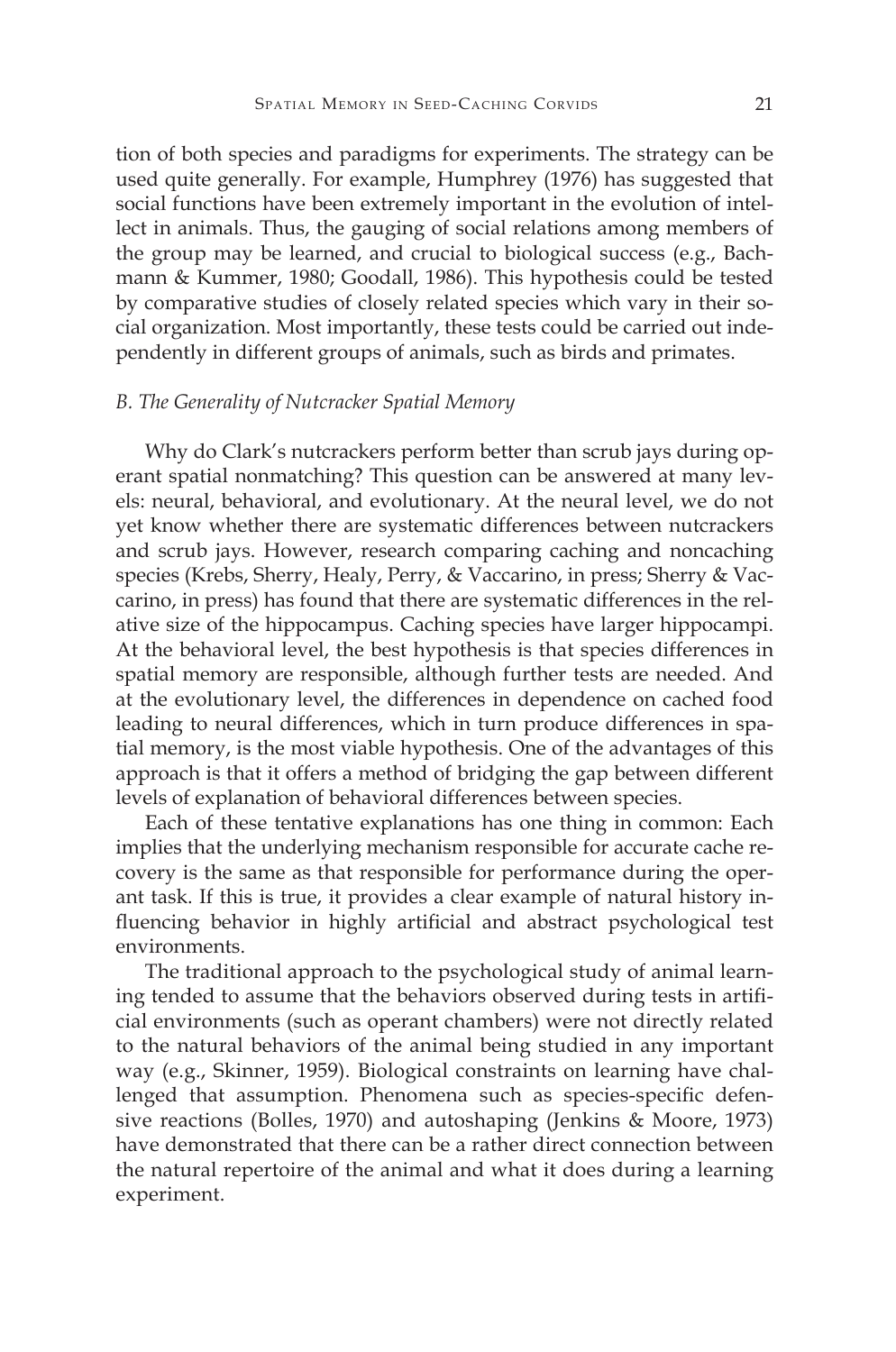tion of both species and paradigms for experiments. The strategy can be used quite generally. For example, Humphrey (1976) has suggested that social functions have been extremely important in the evolution of intellect in animals. Thus, the gauging of social relations among members of the group may be learned, and crucial to biological success (e.g., Bachmann & Kummer, 1980; Goodall, 1986). This hypothesis could be tested by comparative studies of closely related species which vary in their social organization. Most importantly, these tests could be carried out independently in different groups of animals, such as birds and primates.

# *B. The Generality of Nutcracker Spatial Memory*

Why do Clark's nutcrackers perform better than scrub jays during operant spatial nonmatching? This question can be answered at many levels: neural, behavioral, and evolutionary. At the neural level, we do not yet know whether there are systematic differences between nutcrackers and scrub jays. However, research comparing caching and noncaching species (Krebs, Sherry, Healy, Perry, & Vaccarino, in press; Sherry & Vaccarino, in press) has found that there are systematic differences in the relative size of the hippocampus. Caching species have larger hippocampi. At the behavioral level, the best hypothesis is that species differences in spatial memory are responsible, although further tests are needed. And at the evolutionary level, the differences in dependence on cached food leading to neural differences, which in turn produce differences in spatial memory, is the most viable hypothesis. One of the advantages of this approach is that it offers a method of bridging the gap between different levels of explanation of behavioral differences between species.

Each of these tentative explanations has one thing in common: Each implies that the underlying mechanism responsible for accurate cache recovery is the same as that responsible for performance during the operant task. If this is true, it provides a clear example of natural history influencing behavior in highly artificial and abstract psychological test environments.

The traditional approach to the psychological study of animal learning tended to assume that the behaviors observed during tests in artificial environments (such as operant chambers) were not directly related to the natural behaviors of the animal being studied in any important way (e.g., Skinner, 1959). Biological constraints on learning have challenged that assumption. Phenomena such as species-specific defensive reactions (Bolles, 1970) and autoshaping (Jenkins & Moore, 1973) have demonstrated that there can be a rather direct connection between the natural repertoire of the animal and what it does during a learning experiment.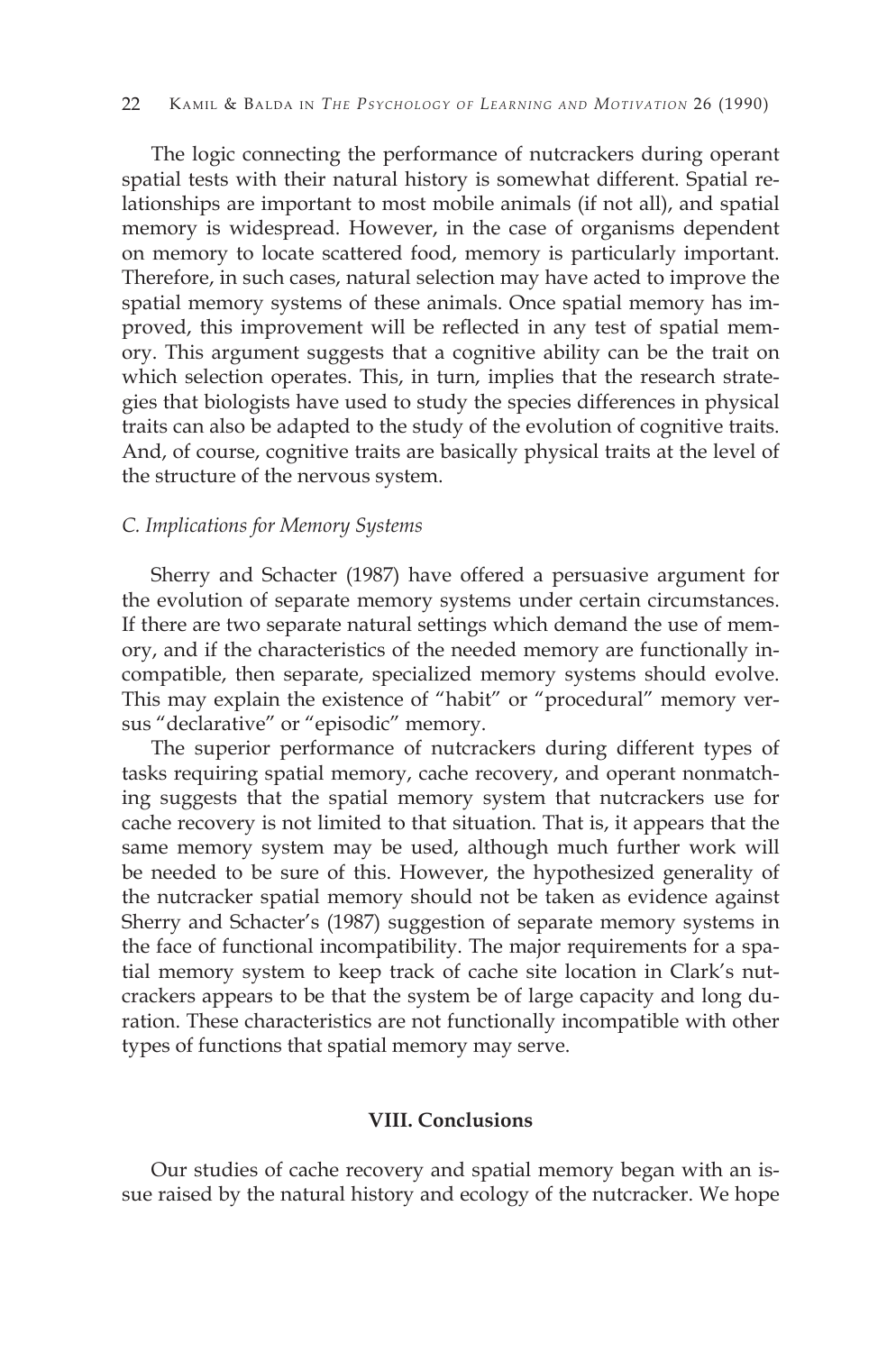The logic connecting the performance of nutcrackers during operant spatial tests with their natural history is somewhat different. Spatial relationships are important to most mobile animals (if not all), and spatial memory is widespread. However, in the case of organisms dependent on memory to locate scattered food, memory is particularly important. Therefore, in such cases, natural selection may have acted to improve the spatial memory systems of these animals. Once spatial memory has improved, this improvement will be reflected in any test of spatial memory. This argument suggests that a cognitive ability can be the trait on which selection operates. This, in turn, implies that the research strategies that biologists have used to study the species differences in physical traits can also be adapted to the study of the evolution of cognitive traits. And, of course, cognitive traits are basically physical traits at the level of the structure of the nervous system.

#### *C. Implications for Memory Systems*

Sherry and Schacter (1987) have offered a persuasive argument for the evolution of separate memory systems under certain circumstances. If there are two separate natural settings which demand the use of memory, and if the characteristics of the needed memory are functionally incompatible, then separate, specialized memory systems should evolve. This may explain the existence of "habit" or "procedural" memory versus "declarative" or "episodic" memory.

The superior performance of nutcrackers during different types of tasks requiring spatial memory, cache recovery, and operant nonmatching suggests that the spatial memory system that nutcrackers use for cache recovery is not limited to that situation. That is, it appears that the same memory system may be used, although much further work will be needed to be sure of this. However, the hypothesized generality of the nutcracker spatial memory should not be taken as evidence against Sherry and Schacter's (1987) suggestion of separate memory systems in the face of functional incompatibility. The major requirements for a spatial memory system to keep track of cache site location in Clark's nutcrackers appears to be that the system be of large capacity and long duration. These characteristics are not functionally incompatible with other types of functions that spatial memory may serve.

#### **VIII. Conclusions**

Our studies of cache recovery and spatial memory began with an issue raised by the natural history and ecology of the nutcracker. We hope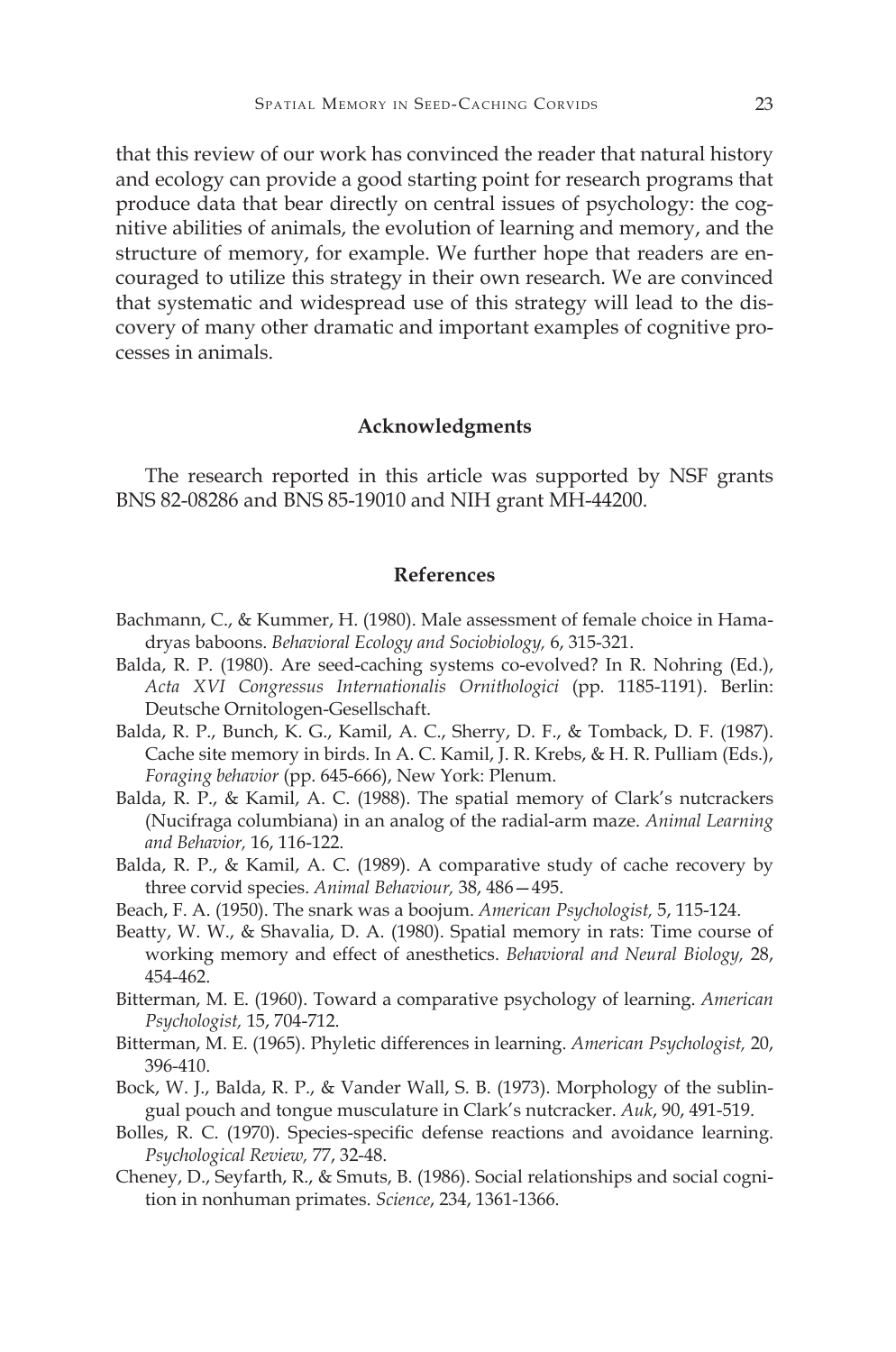that this review of our work has convinced the reader that natural history and ecology can provide a good starting point for research programs that produce data that bear directly on central issues of psychology: the cognitive abilities of animals, the evolution of learning and memory, and the structure of memory, for example. We further hope that readers are encouraged to utilize this strategy in their own research. We are convinced that systematic and widespread use of this strategy will lead to the discovery of many other dramatic and important examples of cognitive processes in animals.

#### **Acknowledgments**

The research reported in this article was supported by NSF grants BNS 82-08286 and BNS 85-19010 and NIH grant MH-44200.

#### **References**

- Bachmann, C., & Kummer, H. (1980). Male assessment of female choice in Hamadryas baboons. *Behavioral Ecology and Sociobiology,* 6, 315-321.
- Balda, R. P. (1980). Are seed-caching systems co-evolved? In R. Nohring (Ed.), *Acta XVI Congressus Internationalis Ornithologici* (pp. 1185-1191). Berlin: Deutsche Ornitologen-Gesellschaft.
- Balda, R. P., Bunch, K. G., Kamil, A. C., Sherry, D. F., & Tomback, D. F. (1987). Cache site memory in birds. In A. C. Kamil, J. R. Krebs, & H. R. Pulliam (Eds.), *Foraging behavior* (pp. 645-666), New York: Plenum.
- Balda, R. P., & Kamil, A. C. (1988). The spatial memory of Clark's nutcrackers (Nucifraga columbiana) in an analog of the radial-arm maze. *Animal Learning and Behavior,* 16, 116-122.
- Balda, R. P., & Kamil, A. C. (1989). A comparative study of cache recovery by three corvid species. *Animal Behaviour,* 38, 486—495.
- Beach, F. A. (1950). The snark was a boojum. *American Psychologist,* 5, 115-124.
- Beatty, W. W., & Shavalia, D. A. (1980). Spatial memory in rats: Time course of working memory and effect of anesthetics. *Behavioral and Neural Biology,* 28, 454-462.
- Bitterman, M. E. (1960). Toward a comparative psychology of learning. *American Psychologist,* 15, 704-712.
- Bitterman, M. E. (1965). Phyletic differences in learning. *American Psychologist,* 20, 396-410.
- Bock, W. J., Balda, R. P., & Vander Wall, S. B. (1973). Morphology of the sublingual pouch and tongue musculature in Clark's nutcracker. *Auk*, 90, 491-519.
- Bolles, R. C. (1970). Species-specific defense reactions and avoidance learning. *Psychological Review,* 77, 32-48.
- Cheney, D., Seyfarth, R., & Smuts, B. (1986). Social relationships and social cognition in nonhuman primates. *Science*, 234, 1361-1366.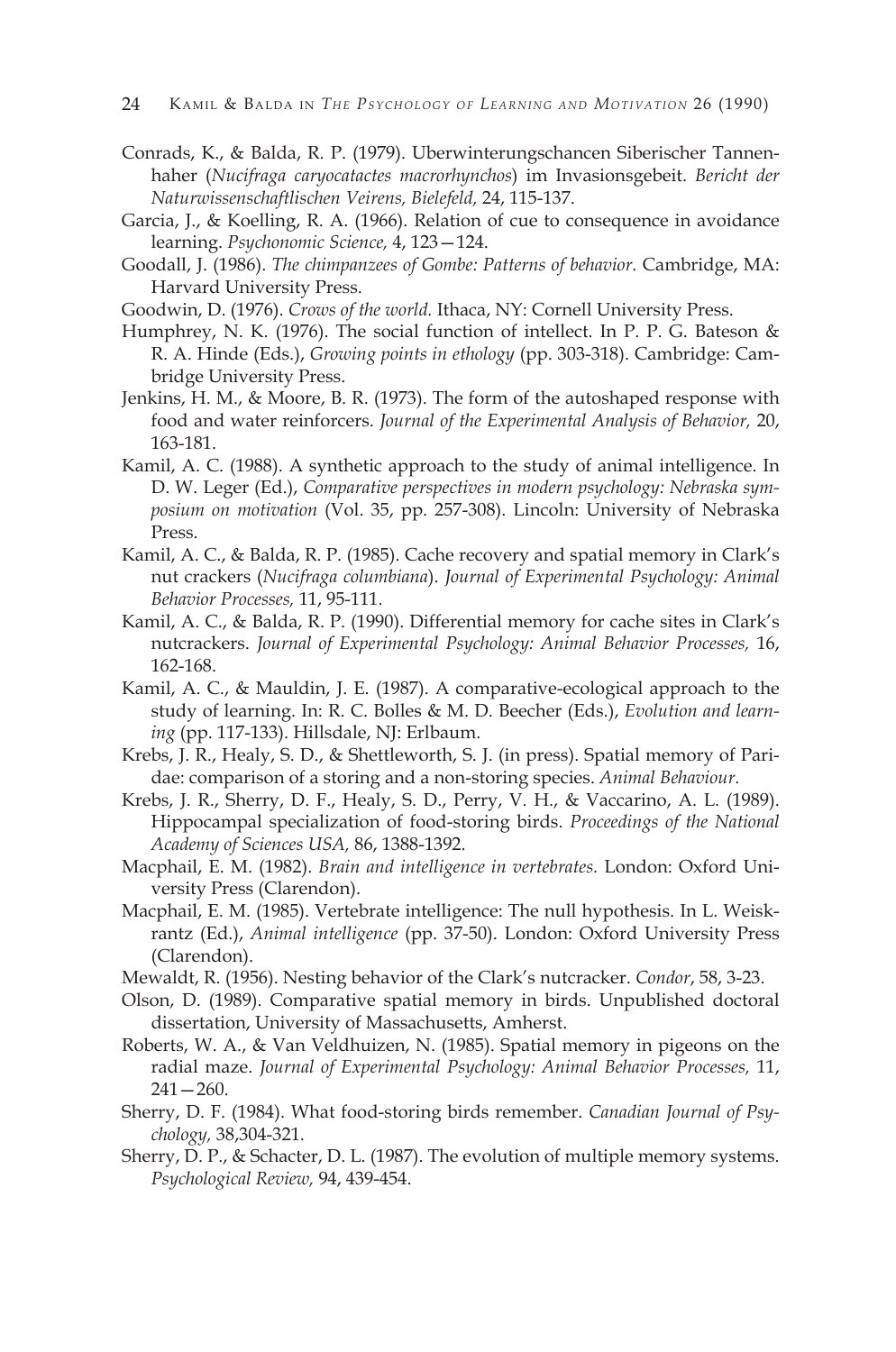- Conrads, K., & Balda, R. P. (1979). Uberwinterungschancen Siberischer Tannenhaher (*Nucifraga caryocatactes macrorhynchos*) im Invasionsgebeit. *Bericht der Naturwissenschaftlischen Veirens, Bielefeld,* 24, 115-137.
- Garcia, J., & Koelling, R. A. (1966). Relation of cue to consequence in avoidance learning. *Psychonomic Science,* 4, 123—124.
- Goodall, J. (1986). *The chimpanzees of Gombe: Patterns of behavior.* Cambridge, MA: Harvard University Press.
- Goodwin, D. (1976). *Crows of the world.* Ithaca, NY: Cornell University Press.
- Humphrey, N. K. (1976). The social function of intellect. In P. P. G. Bateson & R. A. Hinde (Eds.), *Growing points in ethology* (pp. 303-318). Cambridge: Cambridge University Press.
- Jenkins, H. M., & Moore, B. R. (1973). The form of the autoshaped response with food and water reinforcers. *Journal of the Experimental Analysis of Behavior,* 20, 163-181.
- Kamil, A. C. (1988). A synthetic approach to the study of animal intelligence. In D. W. Leger (Ed.), *Comparative perspectives in modern psychology: Nebraska symposium on motivation* (Vol. 35, pp. 257-308). Lincoln: University of Nebraska Press.
- Kamil, A. C., & Balda, R. P. (1985). Cache recovery and spatial memory in Clark's nut crackers (*Nucifraga columbiana*). *Journal of Experimental Psychology: Animal Behavior Processes,* 11, 95-111.
- Kamil, A. C., & Balda, R. P. (1990). Differential memory for cache sites in Clark's nutcrackers. *Journal of Experimental Psychology: Animal Behavior Processes,* 16, 162-168.
- Kamil, A. C., & Mauldin, J. E. (1987). A comparative-ecological approach to the study of learning. In: R. C. Bolles & M. D. Beecher (Eds.), *Evolution and learning* (pp. 117-133). Hillsdale, NJ: Erlbaum.
- Krebs, J. R., Healy, S. D., & Shettleworth, S. J. (in press). Spatial memory of Paridae: comparison of a storing and a non-storing species. *Animal Behaviour.*
- Krebs, J. R., Sherry, D. F., Healy, S. D., Perry, V. H., & Vaccarino, A. L. (1989). Hippocampal specialization of food-storing birds. *Proceedings of the National Academy of Sciences USA,* 86, 1388-1392.
- Macphail, E. M. (1982). *Brain and intelligence in vertebrates.* London: Oxford University Press (Clarendon).
- Macphail, E. M. (1985). Vertebrate intelligence: The null hypothesis. In L. Weiskrantz (Ed.), *Animal intelligence* (pp. 37-50). London: Oxford University Press (Clarendon).
- Mewaldt, R. (1956). Nesting behavior of the Clark's nutcracker. *Condor*, 58, 3-23.
- Olson, D. (1989). Comparative spatial memory in birds. Unpublished doctoral dissertation, University of Massachusetts, Amherst.
- Roberts, W. A., & Van Veldhuizen, N. (1985). Spatial memory in pigeons on the radial maze. *Journal of Experimental Psychology: Animal Behavior Processes,* 11, 241—260.
- Sherry, D. F. (1984). What food-storing birds remember. *Canadian Journal of Psychology,* 38,304-321.
- Sherry, D. P., & Schacter, D. L. (1987). The evolution of multiple memory systems. *Psychological Review,* 94, 439-454.